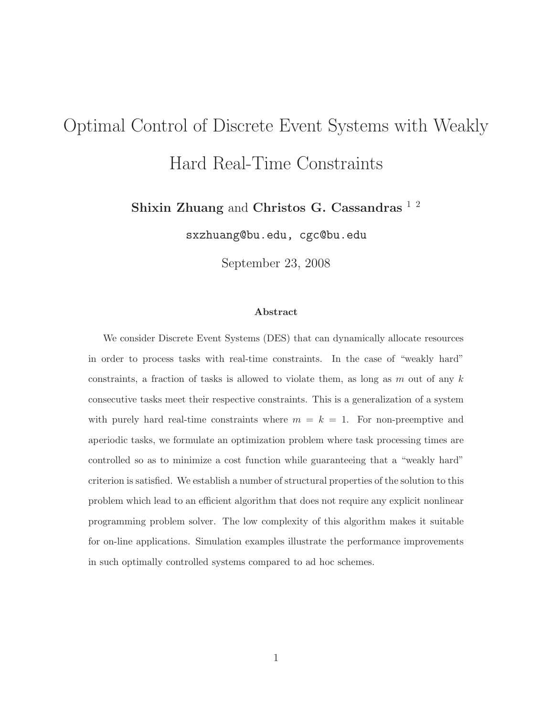# Optimal Control of Discrete Event Systems with Weakly Hard Real-Time Constraints

Shixin Zhuang and Christos G. Cassandras<sup>12</sup>

sxzhuang@bu.edu, cgc@bu.edu

September 23, 2008

#### Abstract

We consider Discrete Event Systems (DES) that can dynamically allocate resources in order to process tasks with real-time constraints. In the case of "weakly hard" constraints, a fraction of tasks is allowed to violate them, as long as m out of any  $k$ consecutive tasks meet their respective constraints. This is a generalization of a system with purely hard real-time constraints where  $m = k = 1$ . For non-preemptive and aperiodic tasks, we formulate an optimization problem where task processing times are controlled so as to minimize a cost function while guaranteeing that a "weakly hard" criterion is satisfied. We establish a number of structural properties of the solution to this problem which lead to an efficient algorithm that does not require any explicit nonlinear programming problem solver. The low complexity of this algorithm makes it suitable for on-line applications. Simulation examples illustrate the performance improvements in such optimally controlled systems compared to ad hoc schemes.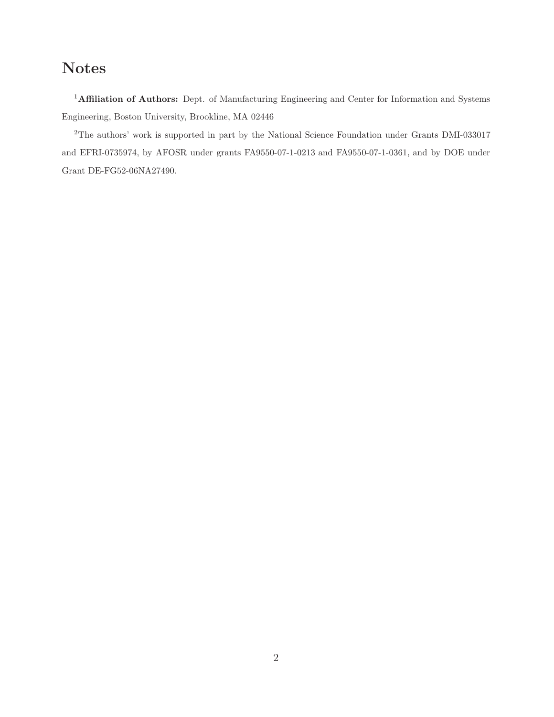# Notes

<sup>1</sup>Affiliation of Authors: Dept. of Manufacturing Engineering and Center for Information and Systems Engineering, Boston University, Brookline, MA 02446

<sup>2</sup>The authors' work is supported in part by the National Science Foundation under Grants DMI-033017 and EFRI-0735974, by AFOSR under grants FA9550-07-1-0213 and FA9550-07-1-0361, and by DOE under Grant DE-FG52-06NA27490.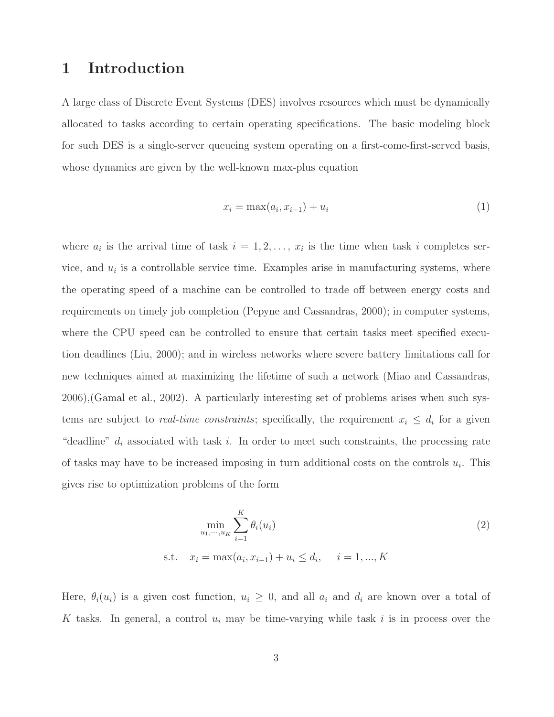### 1 Introduction

A large class of Discrete Event Systems (DES) involves resources which must be dynamically allocated to tasks according to certain operating specifications. The basic modeling block for such DES is a single-server queueing system operating on a first-come-first-served basis, whose dynamics are given by the well-known max-plus equation

$$
x_i = \max(a_i, x_{i-1}) + u_i \tag{1}
$$

where  $a_i$  is the arrival time of task  $i = 1, 2, \ldots, x_i$  is the time when task i completes service, and  $u_i$  is a controllable service time. Examples arise in manufacturing systems, where the operating speed of a machine can be controlled to trade off between energy costs and requirements on timely job completion (Pepyne and Cassandras, 2000); in computer systems, where the CPU speed can be controlled to ensure that certain tasks meet specified execution deadlines (Liu, 2000); and in wireless networks where severe battery limitations call for new techniques aimed at maximizing the lifetime of such a network (Miao and Cassandras, 2006),(Gamal et al., 2002). A particularly interesting set of problems arises when such systems are subject to *real-time constraints*; specifically, the requirement  $x_i \leq d_i$  for a given "deadline"  $d_i$  associated with task i. In order to meet such constraints, the processing rate of tasks may have to be increased imposing in turn additional costs on the controls  $u_i$ . This gives rise to optimization problems of the form

$$
\min_{u_1, \dots, u_K} \sum_{i=1}^K \theta_i(u_i)
$$
\n
$$
\text{s.t.} \quad x_i = \max(a_i, x_{i-1}) + u_i \le d_i, \quad i = 1, \dots, K
$$
\n
$$
(2)
$$

Here,  $\theta_i(u_i)$  is a given cost function,  $u_i \geq 0$ , and all  $a_i$  and  $d_i$  are known over a total of K tasks. In general, a control  $u_i$  may be time-varying while task i is in process over the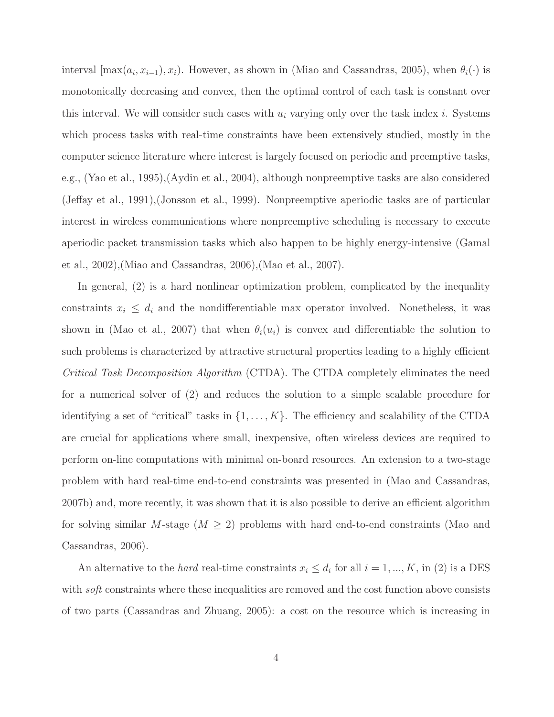interval  $[\max(a_i, x_{i-1}), x_i)$ . However, as shown in (Miao and Cassandras, 2005), when  $\theta_i(\cdot)$  is monotonically decreasing and convex, then the optimal control of each task is constant over this interval. We will consider such cases with  $u_i$  varying only over the task index i. Systems which process tasks with real-time constraints have been extensively studied, mostly in the computer science literature where interest is largely focused on periodic and preemptive tasks, e.g., (Yao et al., 1995),(Aydin et al., 2004), although nonpreemptive tasks are also considered (Jeffay et al., 1991),(Jonsson et al., 1999). Nonpreemptive aperiodic tasks are of particular interest in wireless communications where nonpreemptive scheduling is necessary to execute aperiodic packet transmission tasks which also happen to be highly energy-intensive (Gamal et al., 2002),(Miao and Cassandras, 2006),(Mao et al., 2007).

In general, (2) is a hard nonlinear optimization problem, complicated by the inequality constraints  $x_i \leq d_i$  and the nondifferentiable max operator involved. Nonetheless, it was shown in (Mao et al., 2007) that when  $\theta_i(u_i)$  is convex and differentiable the solution to such problems is characterized by attractive structural properties leading to a highly efficient *Critical Task Decomposition Algorithm* (CTDA). The CTDA completely eliminates the need for a numerical solver of (2) and reduces the solution to a simple scalable procedure for identifying a set of "critical" tasks in  $\{1, \ldots, K\}$ . The efficiency and scalability of the CTDA are crucial for applications where small, inexpensive, often wireless devices are required to perform on-line computations with minimal on-board resources. An extension to a two-stage problem with hard real-time end-to-end constraints was presented in (Mao and Cassandras, 2007b) and, more recently, it was shown that it is also possible to derive an efficient algorithm for solving similar M-stage  $(M \geq 2)$  problems with hard end-to-end constraints (Mao and Cassandras, 2006).

An alternative to the *hard* real-time constraints  $x_i \leq d_i$  for all  $i = 1, ..., K$ , in (2) is a DES with *soft* constraints where these inequalities are removed and the cost function above consists of two parts (Cassandras and Zhuang, 2005): a cost on the resource which is increasing in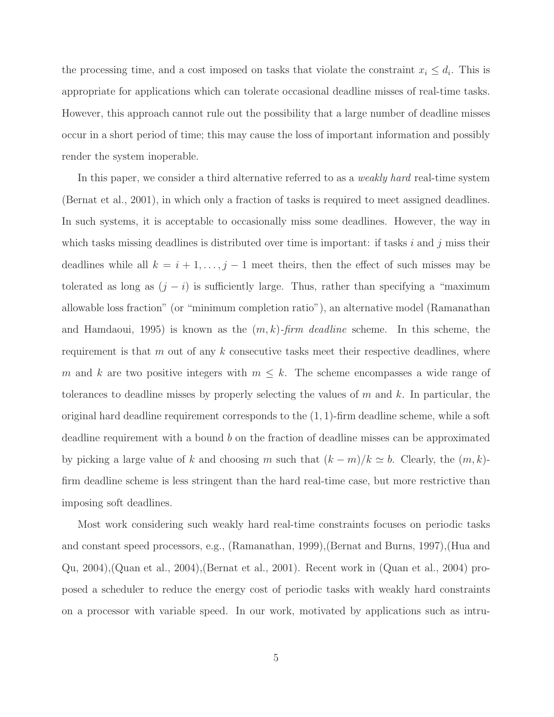the processing time, and a cost imposed on tasks that violate the constraint  $x_i \leq d_i$ . This is appropriate for applications which can tolerate occasional deadline misses of real-time tasks. However, this approach cannot rule out the possibility that a large number of deadline misses occur in a short period of time; this may cause the loss of important information and possibly render the system inoperable.

In this paper, we consider a third alternative referred to as a *weakly hard* real-time system (Bernat et al., 2001), in which only a fraction of tasks is required to meet assigned deadlines. In such systems, it is acceptable to occasionally miss some deadlines. However, the way in which tasks missing deadlines is distributed over time is important: if tasks  $i$  and  $j$  miss their deadlines while all  $k = i + 1, \ldots, j - 1$  meet theirs, then the effect of such misses may be tolerated as long as  $(j - i)$  is sufficiently large. Thus, rather than specifying a "maximum" allowable loss fraction" (or "minimum completion ratio"), an alternative model (Ramanathan and Hamdaoui, 1995) is known as the (m, k)*-firm deadline* scheme. In this scheme, the requirement is that  $m$  out of any  $k$  consecutive tasks meet their respective deadlines, where m and k are two positive integers with  $m \leq k$ . The scheme encompasses a wide range of tolerances to deadline misses by properly selecting the values of  $m$  and  $k$ . In particular, the original hard deadline requirement corresponds to the  $(1, 1)$ -firm deadline scheme, while a soft deadline requirement with a bound b on the fraction of deadline misses can be approximated by picking a large value of k and choosing m such that  $(k - m)/k \simeq b$ . Clearly, the  $(m, k)$ firm deadline scheme is less stringent than the hard real-time case, but more restrictive than imposing soft deadlines.

Most work considering such weakly hard real-time constraints focuses on periodic tasks and constant speed processors, e.g., (Ramanathan, 1999),(Bernat and Burns, 1997),(Hua and Qu, 2004),(Quan et al., 2004),(Bernat et al., 2001). Recent work in (Quan et al., 2004) proposed a scheduler to reduce the energy cost of periodic tasks with weakly hard constraints on a processor with variable speed. In our work, motivated by applications such as intru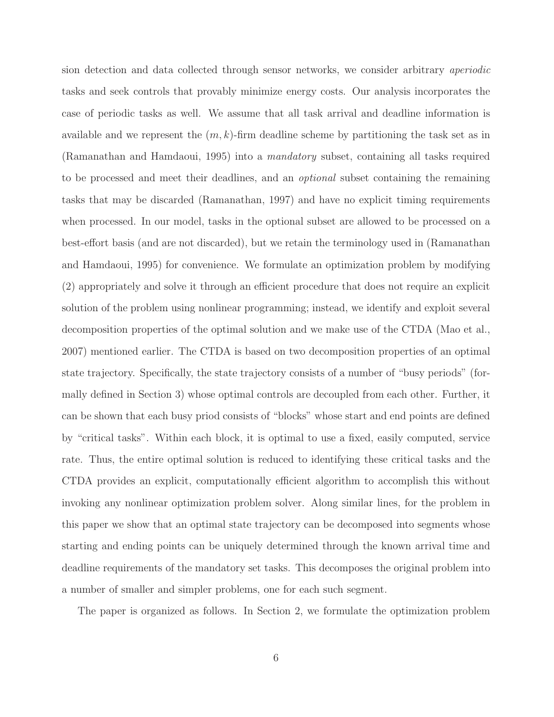sion detection and data collected through sensor networks, we consider arbitrary *aperiodic* tasks and seek controls that provably minimize energy costs. Our analysis incorporates the case of periodic tasks as well. We assume that all task arrival and deadline information is available and we represent the  $(m, k)$ -firm deadline scheme by partitioning the task set as in (Ramanathan and Hamdaoui, 1995) into a *mandatory* subset, containing all tasks required to be processed and meet their deadlines, and an *optional* subset containing the remaining tasks that may be discarded (Ramanathan, 1997) and have no explicit timing requirements when processed. In our model, tasks in the optional subset are allowed to be processed on a best-effort basis (and are not discarded), but we retain the terminology used in (Ramanathan and Hamdaoui, 1995) for convenience. We formulate an optimization problem by modifying (2) appropriately and solve it through an efficient procedure that does not require an explicit solution of the problem using nonlinear programming; instead, we identify and exploit several decomposition properties of the optimal solution and we make use of the CTDA (Mao et al., 2007) mentioned earlier. The CTDA is based on two decomposition properties of an optimal state trajectory. Specifically, the state trajectory consists of a number of "busy periods" (formally defined in Section 3) whose optimal controls are decoupled from each other. Further, it can be shown that each busy priod consists of "blocks" whose start and end points are defined by "critical tasks". Within each block, it is optimal to use a fixed, easily computed, service rate. Thus, the entire optimal solution is reduced to identifying these critical tasks and the CTDA provides an explicit, computationally efficient algorithm to accomplish this without invoking any nonlinear optimization problem solver. Along similar lines, for the problem in this paper we show that an optimal state trajectory can be decomposed into segments whose starting and ending points can be uniquely determined through the known arrival time and deadline requirements of the mandatory set tasks. This decomposes the original problem into a number of smaller and simpler problems, one for each such segment.

The paper is organized as follows. In Section 2, we formulate the optimization problem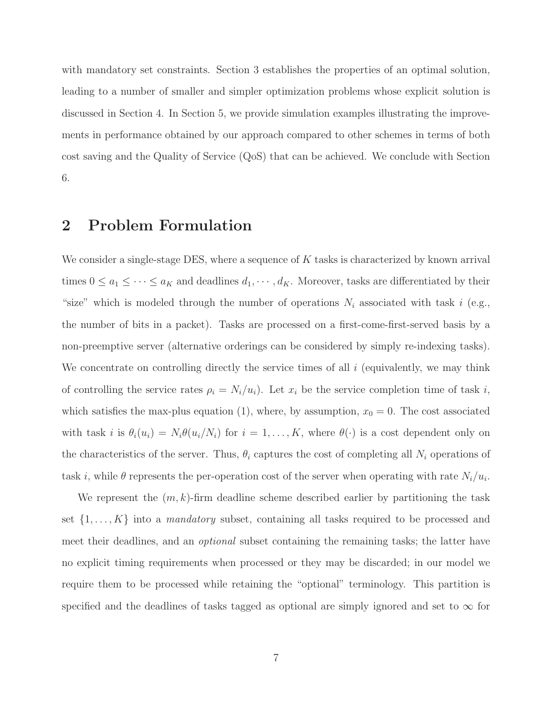with mandatory set constraints. Section 3 establishes the properties of an optimal solution, leading to a number of smaller and simpler optimization problems whose explicit solution is discussed in Section 4. In Section 5, we provide simulation examples illustrating the improvements in performance obtained by our approach compared to other schemes in terms of both cost saving and the Quality of Service (QoS) that can be achieved. We conclude with Section 6.

# 2 Problem Formulation

We consider a single-stage DES, where a sequence of  $K$  tasks is characterized by known arrival times  $0 \le a_1 \le \cdots \le a_K$  and deadlines  $d_1, \cdots, d_K$ . Moreover, tasks are differentiated by their "size" which is modeled through the number of operations  $N_i$  associated with task i (e.g., the number of bits in a packet). Tasks are processed on a first-come-first-served basis by a non-preemptive server (alternative orderings can be considered by simply re-indexing tasks). We concentrate on controlling directly the service times of all  $i$  (equivalently, we may think of controlling the service rates  $\rho_i = N_i/u_i$ . Let  $x_i$  be the service completion time of task i, which satisfies the max-plus equation (1), where, by assumption,  $x_0 = 0$ . The cost associated with task i is  $\theta_i(u_i) = N_i \theta(u_i/N_i)$  for  $i = 1, ..., K$ , where  $\theta(\cdot)$  is a cost dependent only on the characteristics of the server. Thus,  $\theta_i$  captures the cost of completing all  $N_i$  operations of task *i*, while  $\theta$  represents the per-operation cost of the server when operating with rate  $N_i/u_i$ .

We represent the  $(m, k)$ -firm deadline scheme described earlier by partitioning the task set  $\{1, \ldots, K\}$  into a *mandatory* subset, containing all tasks required to be processed and meet their deadlines, and an *optional* subset containing the remaining tasks; the latter have no explicit timing requirements when processed or they may be discarded; in our model we require them to be processed while retaining the "optional" terminology. This partition is specified and the deadlines of tasks tagged as optional are simply ignored and set to  $\infty$  for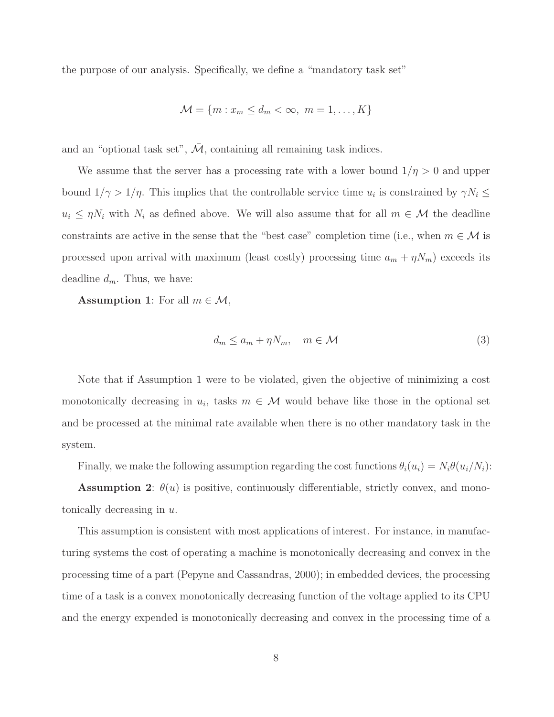the purpose of our analysis. Specifically, we define a "mandatory task set"

$$
\mathcal{M} = \{m : x_m \le d_m < \infty, \ m = 1, \dots, K\}
$$

and an "optional task set",  $\overline{\mathcal{M}}$ , containing all remaining task indices.

We assume that the server has a processing rate with a lower bound  $1/\eta > 0$  and upper bound  $1/\gamma > 1/\eta$ . This implies that the controllable service time  $u_i$  is constrained by  $\gamma N_i \leq$  $u_i \leq \eta N_i$  with  $N_i$  as defined above. We will also assume that for all  $m \in \mathcal{M}$  the deadline constraints are active in the sense that the "best case" completion time (i.e., when  $m \in \mathcal{M}$  is processed upon arrival with maximum (least costly) processing time  $a_m + \eta N_m$ ) exceeds its deadline  $d_m$ . Thus, we have:

**Assumption 1:** For all  $m \in \mathcal{M}$ ,

$$
d_m \le a_m + \eta N_m, \quad m \in \mathcal{M}
$$
\n<sup>(3)</sup>

Note that if Assumption 1 were to be violated, given the objective of minimizing a cost monotonically decreasing in  $u_i$ , tasks  $m \in \mathcal{M}$  would behave like those in the optional set and be processed at the minimal rate available when there is no other mandatory task in the system.

Finally, we make the following assumption regarding the cost functions  $\theta_i(u_i) = N_i \theta(u_i/N_i)$ :

**Assumption 2:**  $\theta(u)$  is positive, continuously differentiable, strictly convex, and monotonically decreasing in  $u$ .

This assumption is consistent with most applications of interest. For instance, in manufacturing systems the cost of operating a machine is monotonically decreasing and convex in the processing time of a part (Pepyne and Cassandras, 2000); in embedded devices, the processing time of a task is a convex monotonically decreasing function of the voltage applied to its CPU and the energy expended is monotonically decreasing and convex in the processing time of a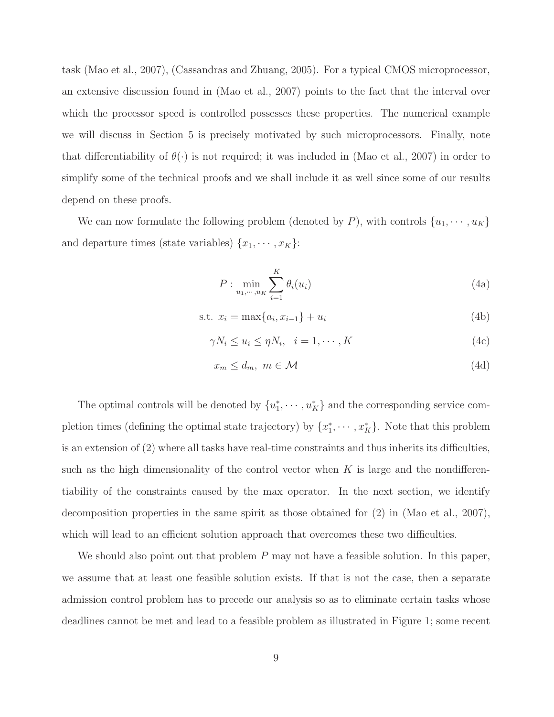task (Mao et al., 2007), (Cassandras and Zhuang, 2005). For a typical CMOS microprocessor, an extensive discussion found in (Mao et al., 2007) points to the fact that the interval over which the processor speed is controlled possesses these properties. The numerical example we will discuss in Section 5 is precisely motivated by such microprocessors. Finally, note that differentiability of  $\theta(\cdot)$  is not required; it was included in (Mao et al., 2007) in order to simplify some of the technical proofs and we shall include it as well since some of our results depend on these proofs.

We can now formulate the following problem (denoted by P), with controls  $\{u_1, \dots, u_K\}$ and departure times (state variables)  $\{x_1, \cdots, x_K\}$ :

$$
P: \min_{u_1, \cdots, u_K} \sum_{i=1}^K \theta_i(u_i) \tag{4a}
$$

s.t. 
$$
x_i = \max\{a_i, x_{i-1}\} + u_i
$$
 (4b)

$$
\gamma N_i \le u_i \le \eta N_i, \quad i = 1, \cdots, K \tag{4c}
$$

$$
x_m \le d_m, \ m \in \mathcal{M} \tag{4d}
$$

The optimal controls will be denoted by  $\{u_1^*\}$  $\{a_1^*, \dots, a_K^*\}$  and the corresponding service completion times (defining the optimal state trajectory) by  $\{x_1^*\}$  $\{a_1^*, \cdots, x_K^*\}$ . Note that this problem is an extension of (2) where all tasks have real-time constraints and thus inherits its difficulties, such as the high dimensionality of the control vector when  $K$  is large and the nondifferentiability of the constraints caused by the max operator. In the next section, we identify decomposition properties in the same spirit as those obtained for (2) in (Mao et al., 2007), which will lead to an efficient solution approach that overcomes these two difficulties.

We should also point out that problem  $P$  may not have a feasible solution. In this paper, we assume that at least one feasible solution exists. If that is not the case, then a separate admission control problem has to precede our analysis so as to eliminate certain tasks whose deadlines cannot be met and lead to a feasible problem as illustrated in Figure 1; some recent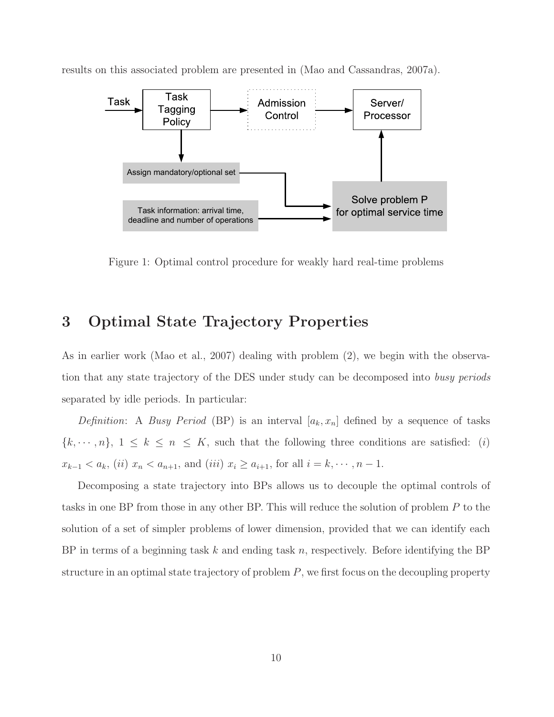

results on this associated problem are presented in (Mao and Cassandras, 2007a).

Figure 1: Optimal control procedure for weakly hard real-time problems

# 3 Optimal State Trajectory Properties

As in earlier work (Mao et al., 2007) dealing with problem (2), we begin with the observation that any state trajectory of the DES under study can be decomposed into *busy periods* separated by idle periods. In particular:

*Definition*: A *Busy Period* (BP) is an interval  $[a_k, x_n]$  defined by a sequence of tasks  $\{k, \dots, n\}, 1 \leq k \leq n \leq K$ , such that the following three conditions are satisfied: (i)  $x_{k-1} < a_k$ , (ii)  $x_n < a_{n+1}$ , and (iii)  $x_i \ge a_{i+1}$ , for all  $i = k, \dots, n-1$ .

Decomposing a state trajectory into BPs allows us to decouple the optimal controls of tasks in one BP from those in any other BP. This will reduce the solution of problem P to the solution of a set of simpler problems of lower dimension, provided that we can identify each BP in terms of a beginning task k and ending task n, respectively. Before identifying the BP structure in an optimal state trajectory of problem  $P$ , we first focus on the decoupling property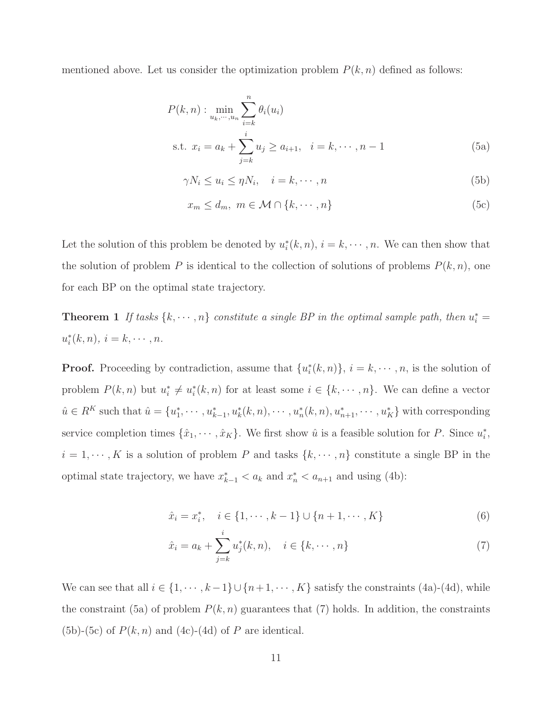mentioned above. Let us consider the optimization problem  $P(k, n)$  defined as follows:

$$
P(k, n) : \min_{u_k, \dots, u_n} \sum_{i=k}^{n} \theta_i(u_i)
$$
  
s.t.  $x_i = a_k + \sum_{j=k}^{i} u_j \ge a_{i+1}, \quad i = k, \dots, n-1$  (5a)

$$
\gamma N_i \le u_i \le \eta N_i, \quad i = k, \cdots, n
$$
\n(5b)

$$
x_m \le d_m, \ m \in \mathcal{M} \cap \{k, \cdots, n\} \tag{5c}
$$

Let the solution of this problem be denoted by  $u_i^*$  $i(k, n), i = k, \dots, n$ . We can then show that the solution of problem P is identical to the collection of solutions of problems  $P(k, n)$ , one for each BP on the optimal state trajectory.

**Theorem 1** If tasks  $\{k, \dots, n\}$  constitute a single BP in the optimal sample path, then  $u_i^* =$  $u_i^*$  $i(k, n), i = k, \cdots, n.$ 

**Proof.** Proceeding by contradiction, assume that  $\{u_i^*\}$  $\{i(k,n)\}, i = k, \cdots, n$ , is the solution of problem  $P(k, n)$  but  $u_i^*$  $i^* \neq u_i^*$  $i(k, n)$  for at least some  $i \in \{k, \dots, n\}$ . We can define a vector  $\hat{u} \in R^K$  such that  $\hat{u} = \{u_1^*\}$  $u_1^*, \dots, u_{k-1}^*, u_k^*(k, n), \dots, u_n^*(k, n), u_{n+1}^*, \dots, u_K^*$  with corresponding service completion times  $\{\hat{x}_1, \dots, \hat{x}_K\}$ . We first show  $\hat{u}$  is a feasible solution for P. Since  $u_i^*$  $_i^*$  $i = 1, \dots, K$  is a solution of problem P and tasks  $\{k, \dots, n\}$  constitute a single BP in the optimal state trajectory, we have  $x_{k-1}^* < a_k$  and  $x_n^* < a_{n+1}$  and using (4b):

$$
\hat{x}_i = x_i^*, \quad i \in \{1, \cdots, k-1\} \cup \{n+1, \cdots, K\}
$$
 (6)

$$
\hat{x}_i = a_k + \sum_{j=k}^i u_j^*(k, n), \quad i \in \{k, \cdots, n\}
$$
\n(7)

We can see that all  $i \in \{1, \dots, k-1\} \cup \{n+1, \dots, K\}$  satisfy the constraints (4a)-(4d), while the constraint (5a) of problem  $P(k, n)$  guarantees that (7) holds. In addition, the constraints  $(5b)-(5c)$  of  $P(k, n)$  and  $(4c)-(4d)$  of P are identical.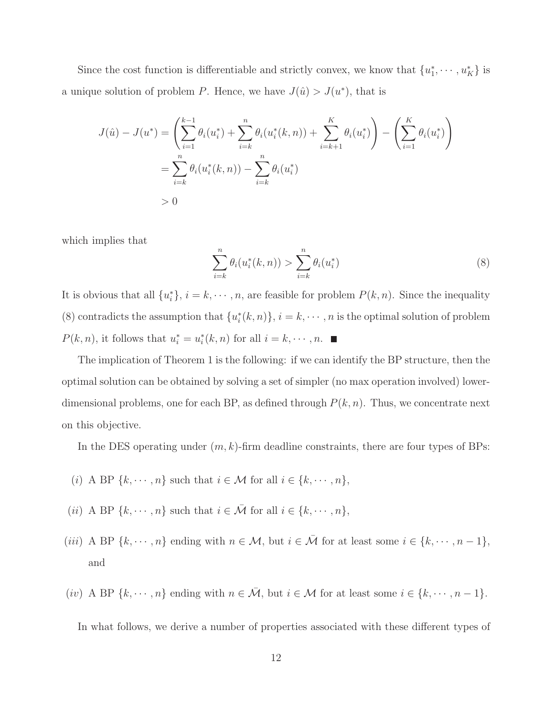Since the cost function is differentiable and strictly convex, we know that  $\{u_1^*\}$  $x_1^*, \cdots, u_K^*$  is a unique solution of problem P. Hence, we have  $J(\hat{u}) > J(u^*)$ , that is

$$
J(\hat{u}) - J(u^*) = \left(\sum_{i=1}^{k-1} \theta_i(u_i^*) + \sum_{i=k}^n \theta_i(u_i^*(k, n)) + \sum_{i=k+1}^K \theta_i(u_i^*)\right) - \left(\sum_{i=1}^K \theta_i(u_i^*)\right)
$$
  
= 
$$
\sum_{i=k}^n \theta_i(u_i^*(k, n)) - \sum_{i=k}^n \theta_i(u_i^*)
$$
  
> 0

which implies that

$$
\sum_{i=k}^{n} \theta_i(u_i^*(k, n)) > \sum_{i=k}^{n} \theta_i(u_i^*)
$$
\n(8)

It is obvious that all  $\{u_i^*\}$  $\{e_i\}, i = k, \dots, n$ , are feasible for problem  $P(k, n)$ . Since the inequality (8) contradicts the assumption that  ${u_i^*}$  $\{k, n\}, i = k, \cdots, n$  is the optimal solution of problem  $P(k, n)$ , it follows that  $u_i^* = u_i^*$  $i(k, n)$  for all  $i = k, \cdots, n$ .

The implication of Theorem 1 is the following: if we can identify the BP structure, then the optimal solution can be obtained by solving a set of simpler (no max operation involved) lowerdimensional problems, one for each BP, as defined through  $P(k, n)$ . Thus, we concentrate next on this objective.

In the DES operating under  $(m, k)$ -firm deadline constraints, there are four types of BPs:

- (i) A BP  $\{k, \dots, n\}$  such that  $i \in \mathcal{M}$  for all  $i \in \{k, \dots, n\}$ ,
- (*ii*) A BP { $k, \dots, n$ } such that  $i \in \overline{\mathcal{M}}$  for all  $i \in \{k, \dots, n\}$ ,
- (iii) A BP  $\{k, \dots, n\}$  ending with  $n \in \mathcal{M}$ , but  $i \in \overline{\mathcal{M}}$  for at least some  $i \in \{k, \dots, n-1\}$ , and
- (iv) A BP  $\{k, \dots, n\}$  ending with  $n \in \overline{\mathcal{M}}$ , but  $i \in \mathcal{M}$  for at least some  $i \in \{k, \dots, n-1\}$ .

In what follows, we derive a number of properties associated with these different types of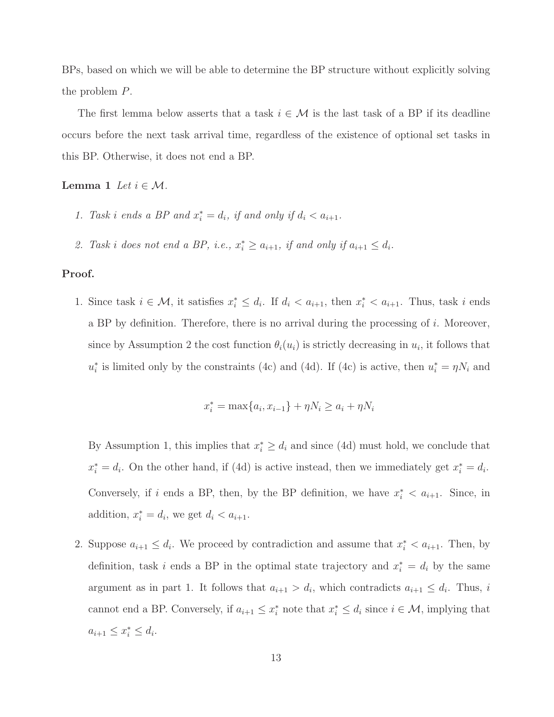BPs, based on which we will be able to determine the BP structure without explicitly solving the problem P.

The first lemma below asserts that a task  $i \in \mathcal{M}$  is the last task of a BP if its deadline occurs before the next task arrival time, regardless of the existence of optional set tasks in this BP. Otherwise, it does not end a BP.

Lemma 1 *Let*  $i \in \mathcal{M}$ .

- 1. Task i ends a BP and  $x_i^* = d_i$ , if and only if  $d_i < a_{i+1}$ .
- 2. Task i does not end a BP, i.e.,  $x_i^* \ge a_{i+1}$ , if and only if  $a_{i+1} \le d_i$ .

#### Proof.

1. Since task  $i \in \mathcal{M}$ , it satisfies  $x_i^* \leq d_i$ . If  $d_i < a_{i+1}$ , then  $x_i^* < a_{i+1}$ . Thus, task i ends a BP by definition. Therefore, there is no arrival during the processing of  $i$ . Moreover, since by Assumption 2 the cost function  $\theta_i(u_i)$  is strictly decreasing in  $u_i$ , it follows that  $u_i^*$ <sup>\*</sup><sub>i</sub> is limited only by the constraints (4c) and (4d). If (4c) is active, then  $u_i^* = \eta N_i$  and

$$
x_i^* = \max\{a_i, x_{i-1}\} + \eta N_i \ge a_i + \eta N_i
$$

By Assumption 1, this implies that  $x_i^* \geq d_i$  and since (4d) must hold, we conclude that  $x_i^* = d_i$ . On the other hand, if (4d) is active instead, then we immediately get  $x_i^* = d_i$ . Conversely, if i ends a BP, then, by the BP definition, we have  $x_i^* < a_{i+1}$ . Since, in addition,  $x_i^* = d_i$ , we get  $d_i < a_{i+1}$ .

2. Suppose  $a_{i+1} \leq d_i$ . We proceed by contradiction and assume that  $x_i^* < a_{i+1}$ . Then, by definition, task *i* ends a BP in the optimal state trajectory and  $x_i^* = d_i$  by the same argument as in part 1. It follows that  $a_{i+1} > d_i$ , which contradicts  $a_{i+1} \leq d_i$ . Thus, i cannot end a BP. Conversely, if  $a_{i+1} \leq x_i^*$  note that  $x_i^* \leq d_i$  since  $i \in \mathcal{M}$ , implying that  $a_{i+1} \leq x_i^* \leq d_i.$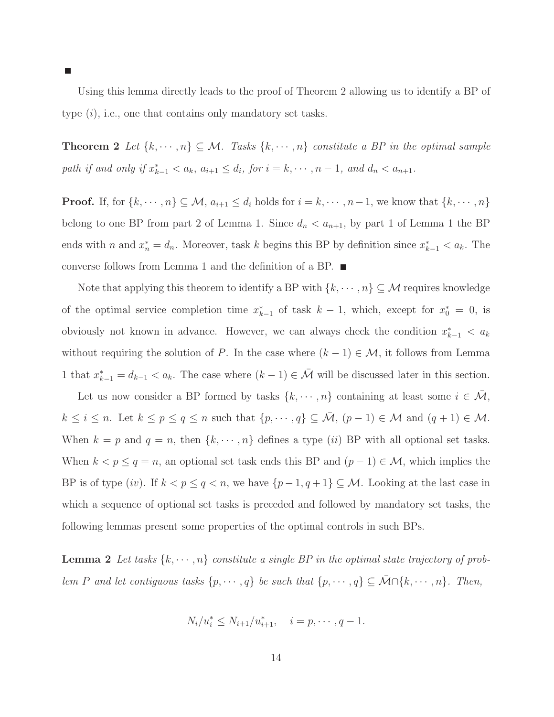Using this lemma directly leads to the proof of Theorem 2 allowing us to identify a BP of type  $(i)$ , i.e., one that contains only mandatory set tasks.

**Theorem 2** Let  $\{k, \dots, n\} \subseteq M$ . Tasks  $\{k, \dots, n\}$  constitute a BP in the optimal sample *path if and only if*  $x_{k-1}^* < a_k$ ,  $a_{i+1} \leq d_i$ , for  $i = k, \dots, n-1$ , and  $d_n < a_{n+1}$ .

**Proof.** If, for  $\{k, \dots, n\} \subseteq M$ ,  $a_{i+1} \leq d_i$  holds for  $i = k, \dots, n-1$ , we know that  $\{k, \dots, n\}$ belong to one BP from part 2 of Lemma 1. Since  $d_n < a_{n+1}$ , by part 1 of Lemma 1 the BP ends with n and  $x_n^* = d_n$ . Moreover, task k begins this BP by definition since  $x_{k-1}^* < a_k$ . The converse follows from Lemma 1 and the definition of a BP.

Note that applying this theorem to identify a BP with  $\{k, \dots, n\} \subseteq \mathcal{M}$  requires knowledge of the optimal service completion time  $x_{k-1}^*$  of task  $k-1$ , which, except for  $x_0^* = 0$ , is obviously not known in advance. However, we can always check the condition  $x_{k-1}^* < a_k$ without requiring the solution of P. In the case where  $(k-1) \in \mathcal{M}$ , it follows from Lemma 1 that  $x_{k-1}^* = d_{k-1} < a_k$ . The case where  $(k-1) \in \overline{\mathcal{M}}$  will be discussed later in this section.

Let us now consider a BP formed by tasks  $\{k, \dots, n\}$  containing at least some  $i \in \overline{\mathcal{M}}$ ,  $k \leq i \leq n$ . Let  $k \leq p \leq q \leq n$  such that  $\{p, \dots, q\} \subseteq \overline{\mathcal{M}}$ ,  $(p-1) \in \mathcal{M}$  and  $(q+1) \in \mathcal{M}$ . When  $k = p$  and  $q = n$ , then  $\{k, \dots, n\}$  defines a type  $(ii)$  BP with all optional set tasks. When  $k < p \le q = n$ , an optional set task ends this BP and  $(p-1) \in \mathcal{M}$ , which implies the BP is of type (iv). If  $k < p \le q < n$ , we have  $\{p-1, q+1\} \subseteq M$ . Looking at the last case in which a sequence of optional set tasks is preceded and followed by mandatory set tasks, the following lemmas present some properties of the optimal controls in such BPs.

**Lemma 2** Let tasks  $\{k, \dots, n\}$  constitute a single BP in the optimal state trajectory of prob*lem* P and let contiguous tasks  $\{p, \dots, q\}$  be such that  $\{p, \dots, q\} \subseteq \overline{\mathcal{M}} \cap \{k, \dots, n\}$ . Then,

$$
N_i/u_i^* \le N_{i+1}/u_{i+1}^*, \quad i = p, \cdots, q-1.
$$

П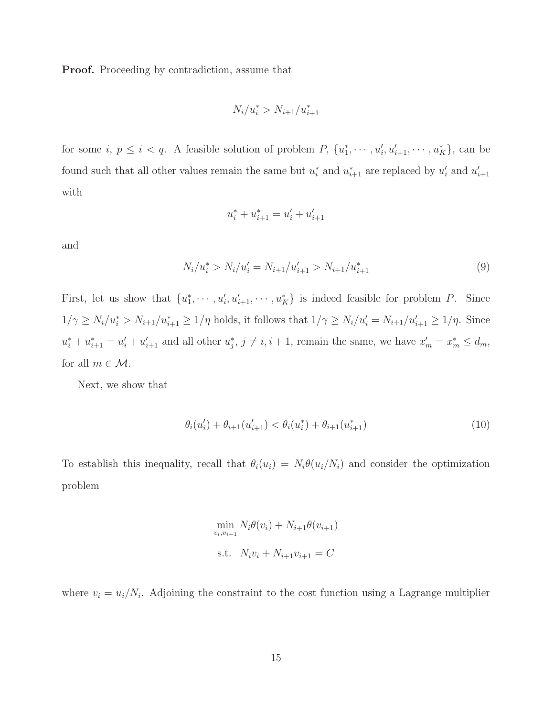Proof. Proceeding by contradiction, assume that

$$
N_i/u_i^* > N_{i+1}/u_{i+1}^*
$$

for some  $i, p \leq i < q$ . A feasible solution of problem P,  $\{u_1^*\}$  $i_1^*, \cdots, u'_i, u'_{i+1}, \cdots, u^*_{K}$ , can be found such that all other values remain the same but  $u_i^*$  $i$  and  $u_{i+1}^*$  are replaced by  $u_i'$  $'_{i}$  and  $u'_{i}$  $i+1$ with

$$
u_i^* + u_{i+1}^* = u_i' + u_{i+1}'
$$

and

$$
N_i/u_i^* > N_i/u_i' = N_{i+1}/u_{i+1}' > N_{i+1}/u_{i+1}^*
$$
\n(9)

First, let us show that  $\{u_1^*\}$  $\{a_1^*, \dots, a'_i, a'_{i+1}, \dots, a^*_K\}$  is indeed feasible for problem P. Since  $1/\gamma \ge N_i/u_i^* > N_{i+1}/u_{i+1}^* \ge 1/\eta$  holds, it follows that  $1/\gamma \ge N_i/u_i' = N_{i+1}/u_{i+1}' \ge 1/\eta$ . Since  $u_i^* + u_{i+1}^* = u_i' + u_{i+1}'$  and all other  $u_j^*$  $j, j \neq i, i + 1$ , remain the same, we have  $x'_m = x_m^* \leq d_m$ , for all  $m \in \mathcal{M}$ .

Next, we show that

$$
\theta_i(u'_i) + \theta_{i+1}(u'_{i+1}) < \theta_i(u_i^*) + \theta_{i+1}(u_{i+1}^*) \tag{10}
$$

To establish this inequality, recall that  $\theta_i(u_i) = N_i \theta(u_i/N_i)$  and consider the optimization problem

$$
\min_{v_i, v_{i+1}} N_i \theta(v_i) + N_{i+1} \theta(v_{i+1})
$$
  
s.t.  $N_i v_i + N_{i+1} v_{i+1} = C$ 

where  $v_i = u_i/N_i$ . Adjoining the constraint to the cost function using a Lagrange multiplier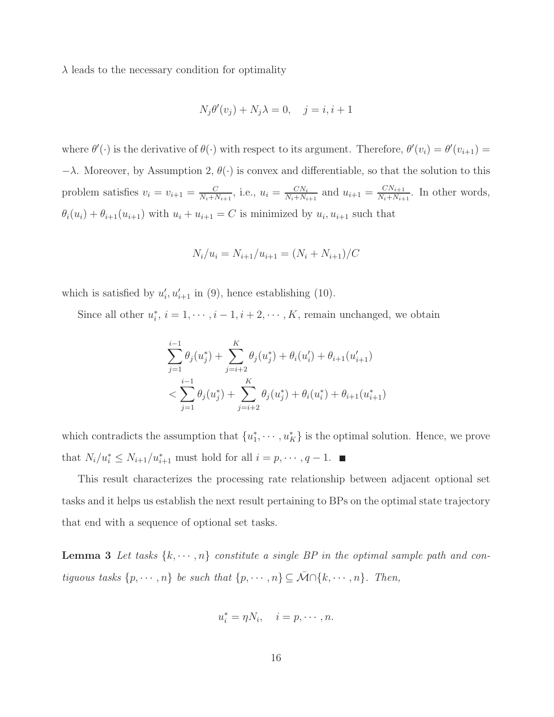$\lambda$  leads to the necessary condition for optimality

$$
N_j \theta'(v_j) + N_j \lambda = 0, \quad j = i, i + 1
$$

where  $\theta'(\cdot)$  is the derivative of  $\theta(\cdot)$  with respect to its argument. Therefore,  $\theta'(v_i) = \theta'(v_{i+1}) =$  $-\lambda$ . Moreover, by Assumption 2,  $\theta(\cdot)$  is convex and differentiable, so that the solution to this problem satisfies  $v_i = v_{i+1} = \frac{C}{N_i + N_i}$  $\frac{C}{N_i + N_{i+1}}, \text{ i.e., } u_i = \frac{CN_i}{N_i + N_i}$  $\frac{CN_i}{N_i+N_{i+1}}$  and  $u_{i+1} = \frac{CN_{i+1}}{N_i+N_{i+1}}$  $\frac{CN_{i+1}}{N_i+N_{i+1}}$ . In other words,  $\theta_i(u_i) + \theta_{i+1}(u_{i+1})$  with  $u_i + u_{i+1} = C$  is minimized by  $u_i, u_{i+1}$  such that

$$
N_i/u_i = N_{i+1}/u_{i+1} = (N_i + N_{i+1})/C
$$

which is satisfied by  $u_i'$  $'_{i}, u'_{i+1}$  in (9), hence establishing (10).

Since all other  $u_i^*$  $i, i = 1, \dots, i-1, i+2, \dots, K$ , remain unchanged, we obtain

$$
\sum_{j=1}^{i-1} \theta_j(u_j^*) + \sum_{j=i+2}^K \theta_j(u_j^*) + \theta_i(u_i') + \theta_{i+1}(u_{i+1}')
$$
  

$$
< \sum_{j=1}^{i-1} \theta_j(u_j^*) + \sum_{j=i+2}^K \theta_j(u_j^*) + \theta_i(u_i^*) + \theta_{i+1}(u_{i+1}^*)
$$

which contradicts the assumption that  ${u_1^*}$  $\{a_1^*, \dots, a_K^*\}$  is the optimal solution. Hence, we prove that  $N_i/u_i^* \leq N_{i+1}/u_{i+1}^*$  must hold for all  $i = p, \dots, q-1$ .

This result characterizes the processing rate relationship between adjacent optional set tasks and it helps us establish the next result pertaining to BPs on the optimal state trajectory that end with a sequence of optional set tasks.

**Lemma 3** Let tasks  $\{k, \dots, n\}$  constitute a single BP in the optimal sample path and con*tiguous tasks*  $\{p, \dots, n\}$  *be such that*  $\{p, \dots, n\} \subseteq \overline{\mathcal{M}} \cap \{k, \dots, n\}$ *. Then,* 

$$
u_i^* = \eta N_i, \quad i = p, \cdots, n.
$$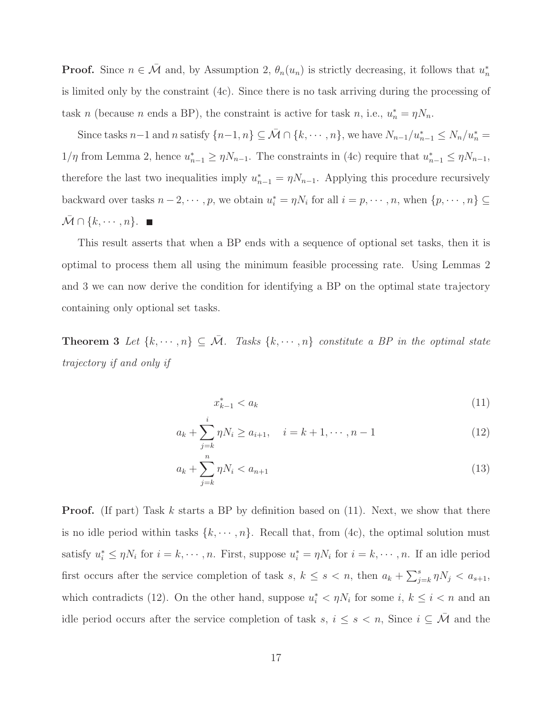**Proof.** Since  $n \in \overline{\mathcal{M}}$  and, by Assumption 2,  $\theta_n(u_n)$  is strictly decreasing, it follows that  $u_n^*$ n is limited only by the constraint (4c). Since there is no task arriving during the processing of task n (because n ends a BP), the constraint is active for task n, i.e.,  $u_n^* = \eta N_n$ .

Since tasks  $n-1$  and n satisfy  $\{n-1,n\} \subseteq \bar{\mathcal{M}} \cap \{k,\dots,n\}$ , we have  $N_{n-1}/u_{n-1}^* \leq N_n/u_n^*$  $1/\eta$  from Lemma 2, hence  $u_{n-1}^* \geq \eta N_{n-1}$ . The constraints in (4c) require that  $u_{n-1}^* \leq \eta N_{n-1}$ , therefore the last two inequalities imply  $u_{n-1}^* = \eta N_{n-1}$ . Applying this procedure recursively backward over tasks  $n-2, \dots, p$ , we obtain  $u_i^* = \eta N_i$  for all  $i = p, \dots, n$ , when  $\{p, \dots, n\} \subseteq$  $\bar{\mathcal{M}} \cap \{k, \cdots, n\}.$ 

This result asserts that when a BP ends with a sequence of optional set tasks, then it is optimal to process them all using the minimum feasible processing rate. Using Lemmas 2 and 3 we can now derive the condition for identifying a BP on the optimal state trajectory containing only optional set tasks.

**Theorem 3** Let  $\{k, \dots, n\} \subseteq \overline{\mathcal{M}}$ . Tasks  $\{k, \dots, n\}$  constitute a BP in the optimal state *trajectory if and only if*

$$
x_{k-1}^* < a_k \tag{11}
$$

$$
a_k + \sum_{j=k}^{i} \eta N_i \ge a_{i+1}, \quad i = k+1, \cdots, n-1
$$
\n(12)

$$
a_k + \sum_{j=k}^{n} \eta N_i < a_{n+1} \tag{13}
$$

**Proof.** (If part) Task k starts a BP by definition based on  $(11)$ . Next, we show that there is no idle period within tasks  $\{k, \dots, n\}$ . Recall that, from (4c), the optimal solution must satisfy  $u_i^* \leq \eta N_i$  for  $i = k, \dots, n$ . First, suppose  $u_i^* = \eta N_i$  for  $i = k, \dots, n$ . If an idle period first occurs after the service completion of task  $s, k \leq s < n$ , then  $a_k + \sum_{j=k}^{s} \eta N_j < a_{s+1}$ , which contradicts (12). On the other hand, suppose  $u_i^* < \eta N_i$  for some  $i, k \leq i < n$  and an idle period occurs after the service completion of task s,  $i \leq s < n$ , Since  $i \subseteq \overline{\mathcal{M}}$  and the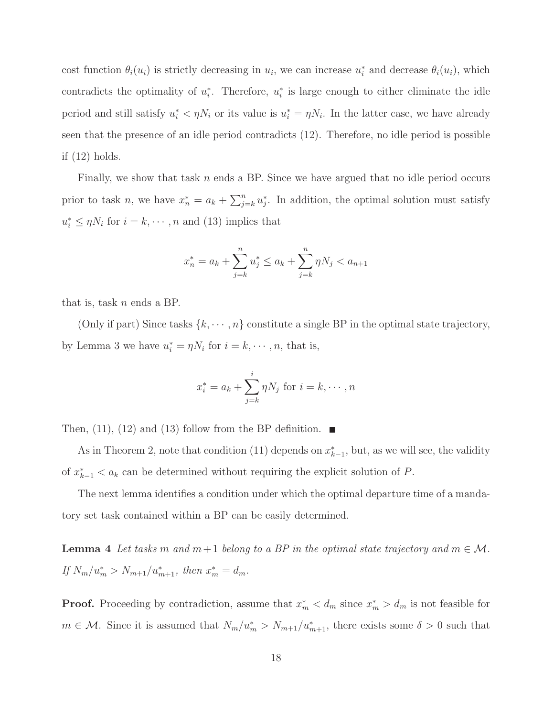cost function  $\theta_i(u_i)$  is strictly decreasing in  $u_i$ , we can increase  $u_i^*$  and decrease  $\theta_i(u_i)$ , which contradicts the optimality of  $u_i^*$ \*. Therefore,  $u_i^*$  $i$  is large enough to either eliminate the idle period and still satisfy  $u_i^* < \eta N_i$  or its value is  $u_i^* = \eta N_i$ . In the latter case, we have already seen that the presence of an idle period contradicts (12). Therefore, no idle period is possible if (12) holds.

Finally, we show that task  $n$  ends a BP. Since we have argued that no idle period occurs prior to task *n*, we have  $x_n^* = a_k + \sum_{j=k}^n u_j^*$  $j<sub>i</sub>$ . In addition, the optimal solution must satisfy  $u_i^* \leq \eta N_i$  for  $i = k, \dots, n$  and (13) implies that

$$
x_n^* = a_k + \sum_{j=k}^n u_j^* \le a_k + \sum_{j=k}^n \eta N_j < a_{n+1}
$$

that is, task  $n$  ends a BP.

(Only if part) Since tasks  $\{k, \dots, n\}$  constitute a single BP in the optimal state trajectory, by Lemma 3 we have  $u_i^* = \eta N_i$  for  $i = k, \dots, n$ , that is,

$$
x_i^* = a_k + \sum_{j=k}^i \eta N_j \text{ for } i = k, \cdots, n
$$

Then, (11), (12) and (13) follow from the BP definition.  $\blacksquare$ 

As in Theorem 2, note that condition (11) depends on  $x_{k-1}^*$ , but, as we will see, the validity of  $x_{k-1}^* < a_k$  can be determined without requiring the explicit solution of P.

The next lemma identifies a condition under which the optimal departure time of a mandatory set task contained within a BP can be easily determined.

**Lemma 4** Let tasks m and  $m + 1$  belong to a BP in the optimal state trajectory and  $m \in \mathcal{M}$ . *If*  $N_m/u_m^* > N_{m+1}/u_{m+1}^*$ , then  $x_m^* = d_m$ .

**Proof.** Proceeding by contradiction, assume that  $x_m^* < d_m$  since  $x_m^* > d_m$  is not feasible for  $m \in \mathcal{M}$ . Since it is assumed that  $N_m/u_m^* > N_{m+1}/u_{m+1}^*$ , there exists some  $\delta > 0$  such that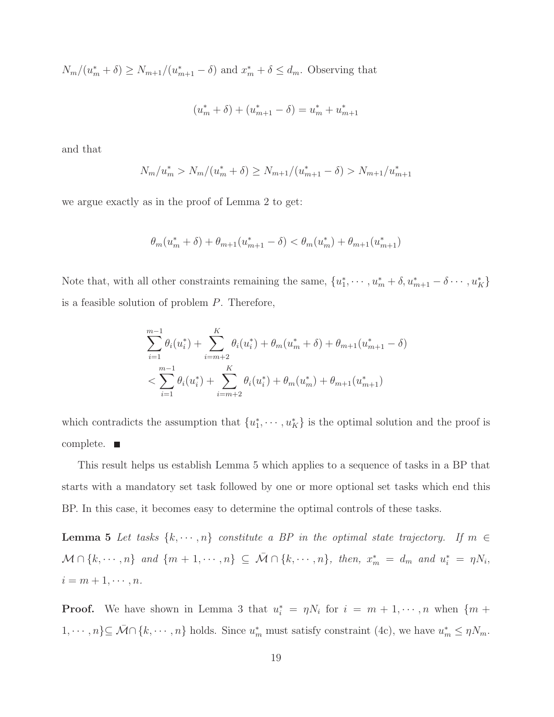$N_m/(u_m^* + \delta) \ge N_{m+1}/(u_{m+1}^* - \delta)$  and  $x_m^* + \delta \le d_m$ . Observing that

$$
(u_m^* + \delta) + (u_{m+1}^* - \delta) = u_m^* + u_{m+1}^*
$$

and that

$$
N_m/u_m^* > N_m/(u_m^* + \delta) \ge N_{m+1}/(u_{m+1}^* - \delta) > N_{m+1}/u_{m+1}^*
$$

we argue exactly as in the proof of Lemma 2 to get:

$$
\theta_m(u_m^* + \delta) + \theta_{m+1}(u_{m+1}^* - \delta) < \theta_m(u_m^*) + \theta_{m+1}(u_{m+1}^*)
$$

Note that, with all other constraints remaining the same,  $\{u_1^*\}$  $x_1^*, \cdots, u_m^* + \delta, u_{m+1}^* - \delta \cdots, u_K^* \}$ is a feasible solution of problem P. Therefore,

$$
\sum_{i=1}^{m-1} \theta_i(u_i^*) + \sum_{i=m+2}^K \theta_i(u_i^*) + \theta_m(u_m^* + \delta) + \theta_{m+1}(u_{m+1}^* - \delta)
$$
  

$$
< \sum_{i=1}^{m-1} \theta_i(u_i^*) + \sum_{i=m+2}^K \theta_i(u_i^*) + \theta_m(u_m^*) + \theta_{m+1}(u_{m+1}^*)
$$

which contradicts the assumption that  $\{u_1^*\}$  $\{a_1^*, \dots, a_K^*\}$  is the optimal solution and the proof is complete.  $\blacksquare$ 

This result helps us establish Lemma 5 which applies to a sequence of tasks in a BP that starts with a mandatory set task followed by one or more optional set tasks which end this BP. In this case, it becomes easy to determine the optimal controls of these tasks.

**Lemma 5** *Let tasks*  $\{k, \dots, n\}$  *constitute a BP in the optimal state trajectory. If*  $m \in$  $\mathcal{M} \cap \{k, \dots, n\}$  and  $\{m+1, \dots, n\} \subseteq \overline{\mathcal{M}} \cap \{k, \dots, n\}$ , then,  $x_m^* = d_m$  and  $u_i^* = \eta N_i$ ,  $i = m + 1, \cdots, n$ .

**Proof.** We have shown in Lemma 3 that  $u_i^* = \eta N_i$  for  $i = m + 1, \dots, n$  when  $\{m + 1, \dots, m\}$  $1, \dots, n\} \subseteq \overline{\mathcal{M}} \cap \{k, \dots, n\}$  holds. Since  $u_m^*$  must satisfy constraint (4c), we have  $u_m^* \leq \eta N_m$ .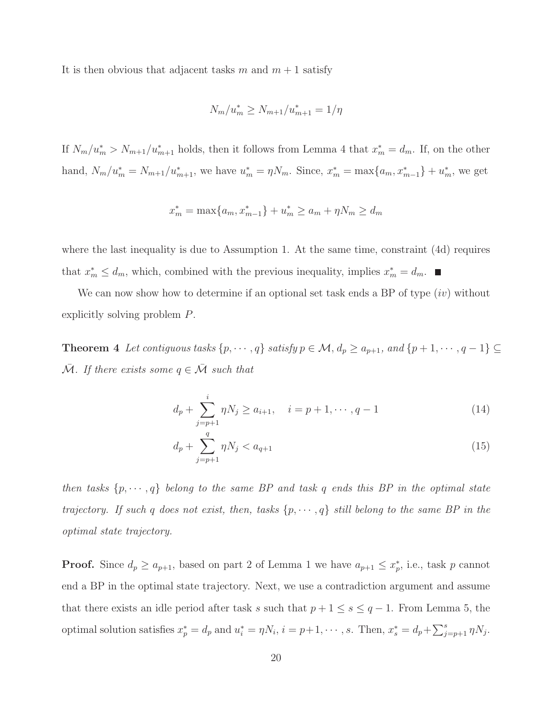It is then obvious that adjacent tasks m and  $m + 1$  satisfy

$$
N_m/u_m^* \ge N_{m+1}/u_{m+1}^* = 1/\eta
$$

If  $N_m/u_m^* > N_{m+1}/u_{m+1}^*$  holds, then it follows from Lemma 4 that  $x_m^* = d_m$ . If, on the other hand,  $N_m/u_m^* = N_{m+1}/u_{m+1}^*$ , we have  $u_m^* = \eta N_m$ . Since,  $x_m^* = \max\{a_m, x_{m-1}^*\} + u_m^*$ , we get

$$
x_m^* = \max\{a_m, x_{m-1}^*\} + u_m^* \ge a_m + \eta N_m \ge d_m
$$

where the last inequality is due to Assumption 1. At the same time, constraint (4d) requires that  $x_m^* \leq d_m$ , which, combined with the previous inequality, implies  $x_m^* = d_m$ .

We can now show how to determine if an optional set task ends a BP of type  $(iv)$  without explicitly solving problem P.

Theorem 4 Let contiguous tasks  $\{p, \dots, q\}$  satisfy  $p \in \mathcal{M}$ ,  $d_p \ge a_{p+1}$ , and  $\{p+1, \dots, q-1\} \subseteq$  $\overline{\mathcal{M}}$ *. If there exists some*  $q \in \overline{\mathcal{M}}$  *such that* 

$$
d_p + \sum_{j=p+1}^{i} \eta N_j \ge a_{i+1}, \quad i = p+1, \cdots, q-1 \tag{14}
$$

$$
d_p + \sum_{j=p+1}^{q} \eta N_j < a_{q+1} \tag{15}
$$

*then tasks*  $\{p, \dots, q\}$  *belong to the same BP and task q ends this BP in the optimal state trajectory.* If such q does not exist, then, tasks  $\{p, \dots, q\}$  still belong to the same BP in the *optimal state trajectory.*

**Proof.** Since  $d_p \ge a_{p+1}$ , based on part 2 of Lemma 1 we have  $a_{p+1} \le x_p^*$  $_p^*$ , i.e., task  $p$  cannot end a BP in the optimal state trajectory. Next, we use a contradiction argument and assume that there exists an idle period after task s such that  $p + 1 \leq s \leq q - 1$ . From Lemma 5, the optimal solution satisfies  $x_p^* = d_p$  and  $u_i^* = \eta N_i$ ,  $i = p+1, \dots, s$ . Then,  $x_s^* = d_p + \sum_{j=p+1}^s \eta N_j$ .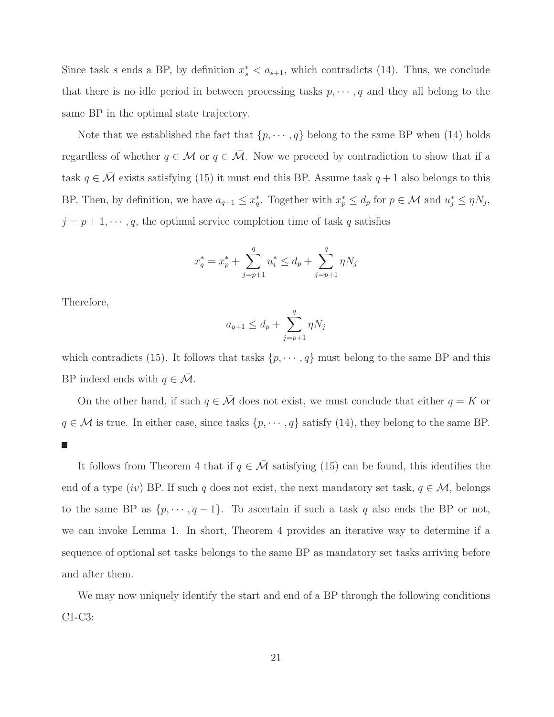Since task s ends a BP, by definition  $x_s^* < a_{s+1}$ , which contradicts (14). Thus, we conclude that there is no idle period in between processing tasks  $p, \dots, q$  and they all belong to the same BP in the optimal state trajectory.

Note that we established the fact that  $\{p, \dots, q\}$  belong to the same BP when (14) holds regardless of whether  $q \in \mathcal{M}$  or  $q \in \overline{\mathcal{M}}$ . Now we proceed by contradiction to show that if a task  $q \in \overline{\mathcal{M}}$  exists satisfying (15) it must end this BP. Assume task  $q + 1$  also belongs to this BP. Then, by definition, we have  $a_{q+1} \leq x_q^*$ <sup>\*</sup><sub>q</sub>. Together with  $x_p^* \leq d_p$  for  $p \in \mathcal{M}$  and  $u_j^* \leq \eta N_j$ ,  $j = p + 1, \dots, q$ , the optimal service completion time of task q satisfies

$$
x_q^* = x_p^* + \sum_{j=p+1}^q u_i^* \le d_p + \sum_{j=p+1}^q \eta N_j
$$

Therefore,

$$
a_{q+1} \leq d_p + \sum_{j=p+1}^{q} \eta N_j
$$

which contradicts (15). It follows that tasks  $\{p, \dots, q\}$  must belong to the same BP and this BP indeed ends with  $q \in \overline{\mathcal{M}}$ .

On the other hand, if such  $q \in \overline{\mathcal{M}}$  does not exist, we must conclude that either  $q = K$  or  $q \in \mathcal{M}$  is true. In either case, since tasks  $\{p, \dots, q\}$  satisfy (14), they belong to the same BP.  $\Box$ 

It follows from Theorem 4 that if  $q \in \overline{\mathcal{M}}$  satisfying (15) can be found, this identifies the end of a type (iv) BP. If such q does not exist, the next mandatory set task,  $q \in \mathcal{M}$ , belongs to the same BP as  $\{p, \dots, q-1\}$ . To ascertain if such a task q also ends the BP or not, we can invoke Lemma 1. In short, Theorem 4 provides an iterative way to determine if a sequence of optional set tasks belongs to the same BP as mandatory set tasks arriving before and after them.

We may now uniquely identify the start and end of a BP through the following conditions C1-C3: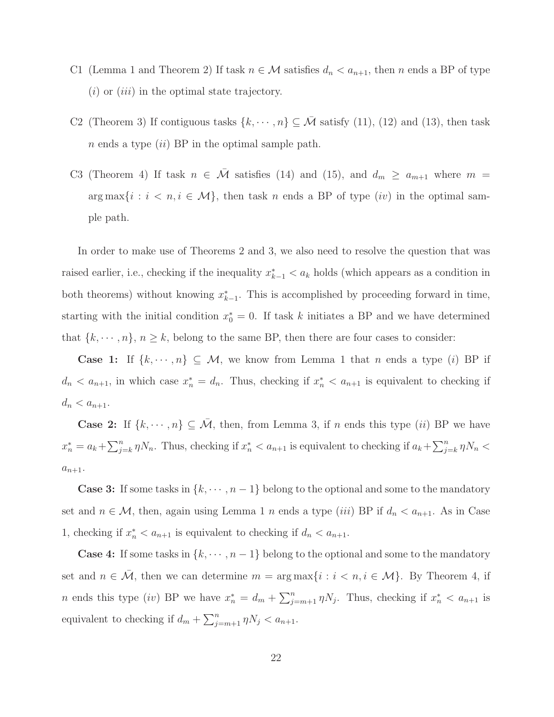- C1 (Lemma 1 and Theorem 2) If task  $n \in \mathcal{M}$  satisfies  $d_n < a_{n+1}$ , then n ends a BP of type  $(i)$  or  $(iii)$  in the optimal state trajectory.
- C2 (Theorem 3) If contiguous tasks  $\{k, \dots, n\} \subseteq \overline{\mathcal{M}}$  satisfy (11), (12) and (13), then task  $n$  ends a type  $(ii)$  BP in the optimal sample path.
- C3 (Theorem 4) If task  $n \in \overline{\mathcal{M}}$  satisfies (14) and (15), and  $d_m \ge a_{m+1}$  where  $m =$  $arg \max\{i : i < n, i \in \mathcal{M}\},$  then task n ends a BP of type  $(iv)$  in the optimal sample path.

In order to make use of Theorems 2 and 3, we also need to resolve the question that was raised earlier, i.e., checking if the inequality  $x_{k-1}^* < a_k$  holds (which appears as a condition in both theorems) without knowing  $x_{k-1}^*$ . This is accomplished by proceeding forward in time, starting with the initial condition  $x_0^* = 0$ . If task k initiates a BP and we have determined that  $\{k, \dots, n\}, n \geq k$ , belong to the same BP, then there are four cases to consider:

Case 1: If  $\{k, \dots, n\} \subseteq M$ , we know from Lemma 1 that n ends a type (i) BP if  $d_n < a_{n+1}$ , in which case  $x_n^* = d_n$ . Thus, checking if  $x_n^* < a_{n+1}$  is equivalent to checking if  $d_n < a_{n+1}.$ 

**Case 2:** If  $\{k, \dots, n\} \subseteq \overline{\mathcal{M}}$ , then, from Lemma 3, if n ends this type *(ii)* BP we have  $x_n^* = a_k + \sum_{j=k}^n \eta N_n$ . Thus, checking if  $x_n^* < a_{n+1}$  is equivalent to checking if  $a_k + \sum_{j=k}^n \eta N_n <$  $a_{n+1}.$ 

**Case 3:** If some tasks in  $\{k, \dots, n-1\}$  belong to the optional and some to the mandatory set and  $n \in \mathcal{M}$ , then, again using Lemma 1 n ends a type *(iii)* BP if  $d_n < a_{n+1}$ . As in Case 1, checking if  $x_n^* < a_{n+1}$  is equivalent to checking if  $d_n < a_{n+1}$ .

**Case 4:** If some tasks in  $\{k, \dots, n-1\}$  belong to the optional and some to the mandatory set and  $n \in \overline{\mathcal{M}}$ , then we can determine  $m = \arg \max\{i : i \leq n, i \in \mathcal{M}\}$ . By Theorem 4, if *n* ends this type (*iv*) BP we have  $x_n^* = d_m + \sum_{j=m+1}^n \eta N_j$ . Thus, checking if  $x_n^* < a_{n+1}$  is equivalent to checking if  $d_m + \sum_{j=m+1}^n \eta N_j < a_{n+1}$ .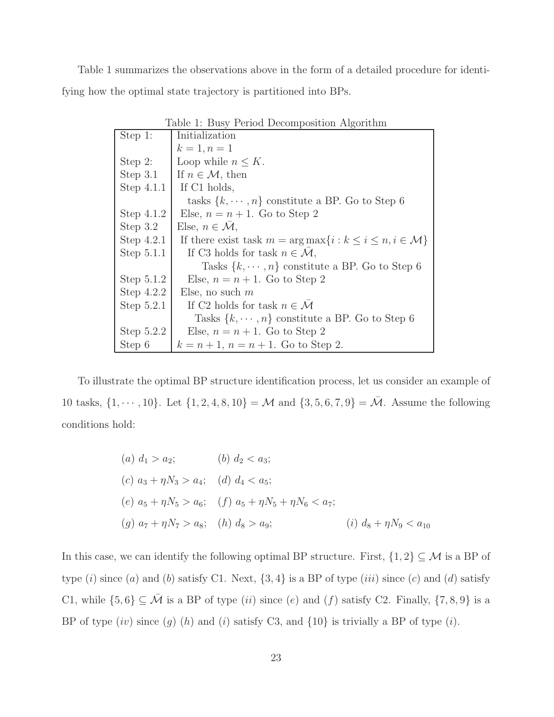Table 1 summarizes the observations above in the form of a detailed procedure for identifying how the optimal state trajectory is partitioned into BPs.

| Table 1: Busy Period Decomposition Algorithm |                                                                                |  |  |
|----------------------------------------------|--------------------------------------------------------------------------------|--|--|
| Step 1:                                      | Initialization                                                                 |  |  |
|                                              | $k = 1, n = 1$                                                                 |  |  |
| Step $2$ :                                   | Loop while $n \leq K$ .                                                        |  |  |
| Step $3.1$                                   | If $n \in \mathcal{M}$ , then                                                  |  |  |
| Step $4.1.1$                                 | If C1 holds,                                                                   |  |  |
|                                              | tasks $\{k, \dots, n\}$ constitute a BP. Go to Step 6                          |  |  |
| Step $4.1.2$                                 | Else, $n = n + 1$ . Go to Step 2                                               |  |  |
| Step $3.2$                                   | Else, $n \in \mathcal{M}$ ,                                                    |  |  |
| Step $4.2.1$                                 | If there exist task $m = \arg \max\{i : k \leq i \leq n, i \in \mathcal{M}\}\$ |  |  |
| Step $5.1.1$                                 | If C3 holds for task $n \in \mathcal{M}$ ,                                     |  |  |
|                                              | Tasks $\{k, \dots, n\}$ constitute a BP. Go to Step 6                          |  |  |
| Step $5.1.2$                                 | Else, $n = n + 1$ . Go to Step 2                                               |  |  |
| Step $4.2.2$                                 | Else, no such $m$                                                              |  |  |
| Step $5.2.1$                                 | If C2 holds for task $n \in \mathcal{M}$                                       |  |  |
|                                              | Tasks $\{k, \dots, n\}$ constitute a BP. Go to Step 6                          |  |  |
| Step $5.2.2$                                 | Else, $n = n + 1$ . Go to Step 2                                               |  |  |
| Step 6                                       | $k = n + 1, n = n + 1$ . Go to Step 2.                                         |  |  |

To illustrate the optimal BP structure identification process, let us consider an example of 10 tasks,  $\{1, \dots, 10\}$ . Let  $\{1, 2, 4, 8, 10\} = M$  and  $\{3, 5, 6, 7, 9\} = \overline{M}$ . Assume the following conditions hold:

(a) 
$$
d_1 > a_2
$$
; (b)  $d_2 < a_3$ ;  
\n(c)  $a_3 + \eta N_3 > a_4$ ; (d)  $d_4 < a_5$ ;  
\n(e)  $a_5 + \eta N_5 > a_6$ ; (f)  $a_5 + \eta N_5 + \eta N_6 < a_7$ ;  
\n(g)  $a_7 + \eta N_7 > a_8$ ; (h)  $d_8 > a_9$ ; (i)  $d_8 + \eta N_9 < a_{10}$ 

In this case, we can identify the following optimal BP structure. First,  $\{1,2\}\subseteq\mathcal{M}$  is a BP of type  $(i)$  since  $(a)$  and  $(b)$  satisfy C1. Next,  $\{3, 4\}$  is a BP of type  $(iii)$  since  $(c)$  and  $(d)$  satisfy C1, while  $\{5,6\} \subseteq \overline{\mathcal{M}}$  is a BP of type  $(ii)$  since  $(e)$  and  $(f)$  satisfy C2. Finally,  $\{7,8,9\}$  is a BP of type  $(iv)$  since  $(g)$   $(h)$  and  $(i)$  satisfy C3, and  $\{10\}$  is trivially a BP of type  $(i)$ .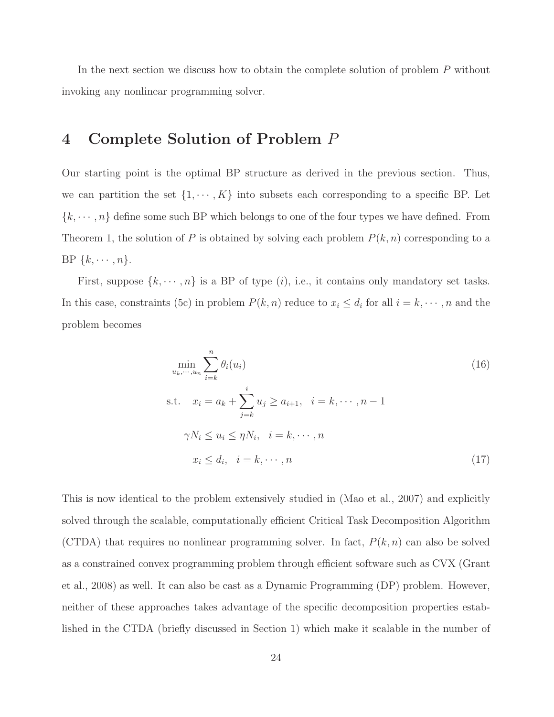In the next section we discuss how to obtain the complete solution of problem  $P$  without invoking any nonlinear programming solver.

# 4 Complete Solution of Problem P

Our starting point is the optimal BP structure as derived in the previous section. Thus, we can partition the set  $\{1, \dots, K\}$  into subsets each corresponding to a specific BP. Let  ${k, \dots, n}$  define some such BP which belongs to one of the four types we have defined. From Theorem 1, the solution of P is obtained by solving each problem  $P(k, n)$  corresponding to a BP  $\{k, \cdots, n\}$ .

First, suppose  $\{k, \dots, n\}$  is a BP of type  $(i)$ , i.e., it contains only mandatory set tasks. In this case, constraints (5c) in problem  $P(k, n)$  reduce to  $x_i \leq d_i$  for all  $i = k, \dots, n$  and the problem becomes

$$
\min_{u_k, \dots, u_n} \sum_{i=k}^n \theta_i(u_i)
$$
\n
$$
\text{s.t.} \quad x_i = a_k + \sum_{j=k}^i u_j \ge a_{i+1}, \quad i = k, \dots, n-1
$$
\n
$$
\gamma N_i \le u_i \le \eta N_i, \quad i = k, \dots, n
$$
\n
$$
x_i \le d_i, \quad i = k, \dots, n
$$
\n
$$
(17)
$$

This is now identical to the problem extensively studied in (Mao et al., 2007) and explicitly solved through the scalable, computationally efficient Critical Task Decomposition Algorithm (CTDA) that requires no nonlinear programming solver. In fact,  $P(k, n)$  can also be solved as a constrained convex programming problem through efficient software such as CVX (Grant et al., 2008) as well. It can also be cast as a Dynamic Programming (DP) problem. However, neither of these approaches takes advantage of the specific decomposition properties established in the CTDA (briefly discussed in Section 1) which make it scalable in the number of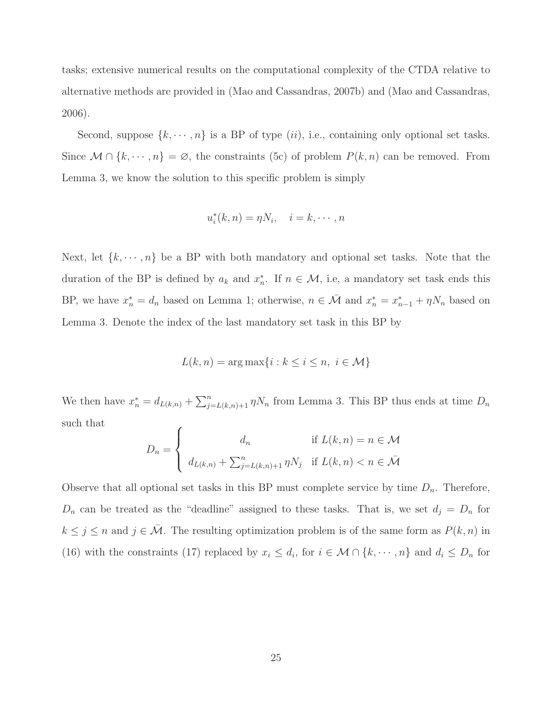tasks; extensive numerical results on the computational complexity of the CTDA relative to alternative methods are provided in (Mao and Cassandras, 2007b) and (Mao and Cassandras, 2006).

Second, suppose  $\{k, \dots, n\}$  is a BP of type  $(ii)$ , i.e., containing only optional set tasks. Since  $\mathcal{M} \cap \{k, \dots, n\} = \emptyset$ , the constraints (5c) of problem  $P(k, n)$  can be removed. From Lemma 3, we know the solution to this specific problem is simply

$$
u_i^*(k, n) = \eta N_i, \quad i = k, \cdots, n
$$

Next, let  $\{k, \dots, n\}$  be a BP with both mandatory and optional set tasks. Note that the duration of the BP is defined by  $a_k$  and  $x_n^*$ \*, If  $n \in \mathcal{M}$ , i.e, a mandatory set task ends this BP, we have  $x_n^* = d_n$  based on Lemma 1; otherwise,  $n \in \bar{\mathcal{M}}$  and  $x_n^* = x_{n-1}^* + \eta N_n$  based on Lemma 3. Denote the index of the last mandatory set task in this BP by

$$
L(k, n) = \arg \max\{i : k \le i \le n, i \in \mathcal{M}\}\
$$

We then have  $x_n^* = d_{L(k,n)} + \sum_{j=L(k,n)+1}^n \eta N_n$  from Lemma 3. This BP thus ends at time  $D_n$ such that  $\epsilon$ 

$$
D_n = \begin{cases} d_n & \text{if } L(k, n) = n \in \mathcal{M} \\ d_{L(k,n)} + \sum_{j=L(k,n)+1}^n \eta N_j & \text{if } L(k,n) < n \in \bar{\mathcal{M}} \end{cases}
$$

Observe that all optional set tasks in this BP must complete service by time  $D_n$ . Therefore,  $D_n$  can be treated as the "deadline" assigned to these tasks. That is, we set  $d_j = D_n$  for  $k \leq j \leq n$  and  $j \in \mathcal{M}$ . The resulting optimization problem is of the same form as  $P(k, n)$  in (16) with the constraints (17) replaced by  $x_i \leq d_i$ , for  $i \in \mathcal{M} \cap \{k, \dots, n\}$  and  $d_i \leq D_n$  for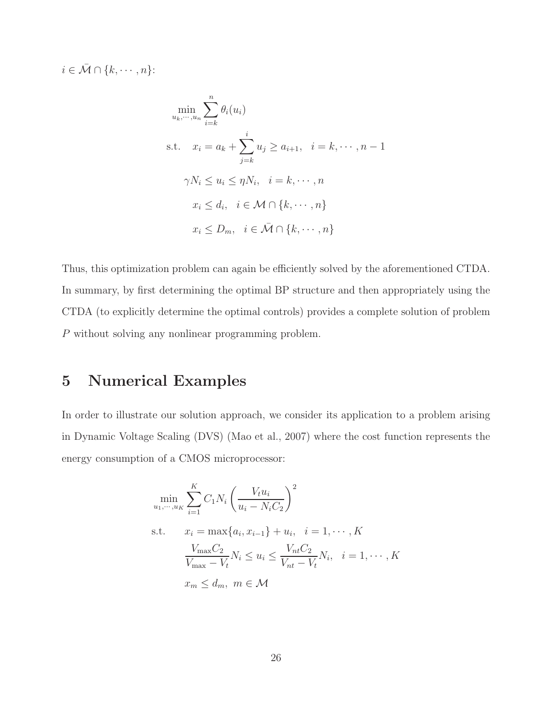$i \in \bar{\mathcal{M}} \cap \{k, \cdots, n\}$ :

$$
\min_{u_k, \dots, u_n} \sum_{i=k}^n \theta_i(u_i)
$$
\n
$$
\text{s.t.} \quad x_i = a_k + \sum_{j=k}^i u_j \ge a_{i+1}, \quad i = k, \dots, n-1
$$
\n
$$
\gamma N_i \le u_i \le \eta N_i, \quad i = k, \dots, n
$$
\n
$$
x_i \le d_i, \quad i \in \mathcal{M} \cap \{k, \dots, n\}
$$
\n
$$
x_i \le D_m, \quad i \in \bar{\mathcal{M}} \cap \{k, \dots, n\}
$$

Thus, this optimization problem can again be efficiently solved by the aforementioned CTDA. In summary, by first determining the optimal BP structure and then appropriately using the CTDA (to explicitly determine the optimal controls) provides a complete solution of problem P without solving any nonlinear programming problem.

# 5 Numerical Examples

In order to illustrate our solution approach, we consider its application to a problem arising in Dynamic Voltage Scaling (DVS) (Mao et al., 2007) where the cost function represents the energy consumption of a CMOS microprocessor:

$$
\min_{u_1, \dots, u_K} \sum_{i=1}^{K} C_1 N_i \left( \frac{V_t u_i}{u_i - N_i C_2} \right)^2
$$
  
s.t.  $x_i = \max\{a_i, x_{i-1}\} + u_i, \quad i = 1, \dots, K$   

$$
\frac{V_{\max} C_2}{V_{\max} - V_t} N_i \le u_i \le \frac{V_{nt} C_2}{V_{nt} - V_t} N_i, \quad i = 1, \dots, K
$$
  
 $x_m \le d_m, \ m \in \mathcal{M}$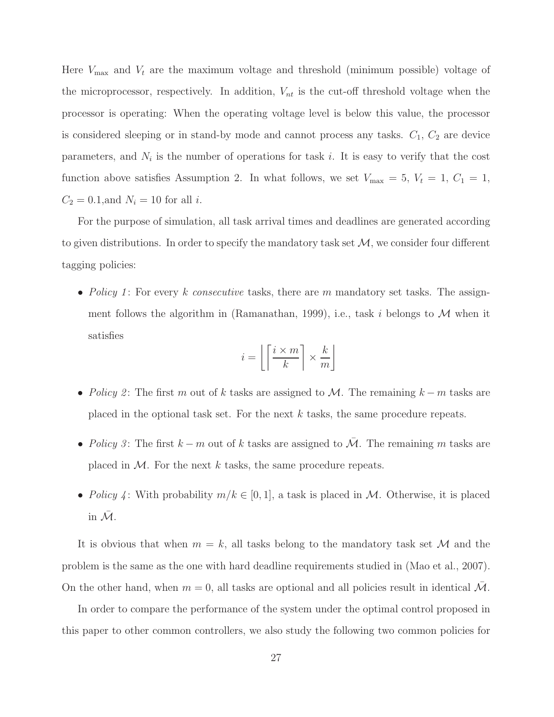Here  $V_{\text{max}}$  and  $V_t$  are the maximum voltage and threshold (minimum possible) voltage of the microprocessor, respectively. In addition,  $V_{nt}$  is the cut-off threshold voltage when the processor is operating: When the operating voltage level is below this value, the processor is considered sleeping or in stand-by mode and cannot process any tasks.  $C_1$ ,  $C_2$  are device parameters, and  $N_i$  is the number of operations for task i. It is easy to verify that the cost function above satisfies Assumption 2. In what follows, we set  $V_{\text{max}} = 5$ ,  $V_t = 1$ ,  $C_1 = 1$ ,  $C_2 = 0.1$ , and  $N_i = 10$  for all *i*.

For the purpose of simulation, all task arrival times and deadlines are generated according to given distributions. In order to specify the mandatory task set  $\mathcal{M}$ , we consider four different tagging policies:

• *Policy 1*: For every k *consecutive* tasks, there are m mandatory set tasks. The assignment follows the algorithm in (Ramanathan, 1999), i.e., task i belongs to  $\mathcal M$  when it satisfies

$$
i = \left\lfloor \left\lceil \frac{i \times m}{k} \right\rceil \times \frac{k}{m} \right\rfloor
$$

- *Policy 2*: The first m out of k tasks are assigned to M. The remaining  $k m$  tasks are placed in the optional task set. For the next  $k$  tasks, the same procedure repeats.
- *Policy 3*: The first  $k m$  out of k tasks are assigned to  $\overline{\mathcal{M}}$ . The remaining m tasks are placed in  $M$ . For the next k tasks, the same procedure repeats.
- *Policy* 4: With probability  $m/k \in [0, 1]$ , a task is placed in M. Otherwise, it is placed in  $\overline{\mathcal{M}}$ .

It is obvious that when  $m = k$ , all tasks belong to the mandatory task set M and the problem is the same as the one with hard deadline requirements studied in (Mao et al., 2007). On the other hand, when  $m = 0$ , all tasks are optional and all policies result in identical M.

In order to compare the performance of the system under the optimal control proposed in this paper to other common controllers, we also study the following two common policies for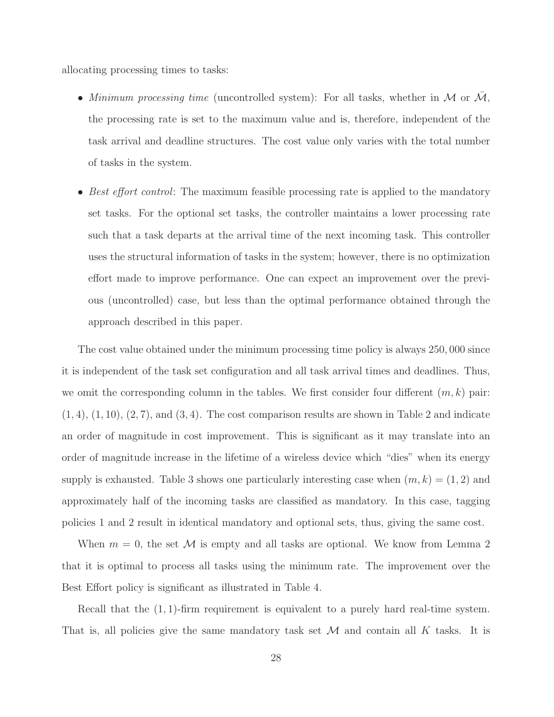allocating processing times to tasks:

- *Minimum processing time* (uncontrolled system): For all tasks, whether in  $M$  or  $\overline{M}$ , the processing rate is set to the maximum value and is, therefore, independent of the task arrival and deadline structures. The cost value only varies with the total number of tasks in the system.
- *Best effort control*: The maximum feasible processing rate is applied to the mandatory set tasks. For the optional set tasks, the controller maintains a lower processing rate such that a task departs at the arrival time of the next incoming task. This controller uses the structural information of tasks in the system; however, there is no optimization effort made to improve performance. One can expect an improvement over the previous (uncontrolled) case, but less than the optimal performance obtained through the approach described in this paper.

The cost value obtained under the minimum processing time policy is always 250, 000 since it is independent of the task set configuration and all task arrival times and deadlines. Thus, we omit the corresponding column in the tables. We first consider four different  $(m, k)$  pair:  $(1, 4), (1, 10), (2, 7),$  and  $(3, 4)$ . The cost comparison results are shown in Table 2 and indicate an order of magnitude in cost improvement. This is significant as it may translate into an order of magnitude increase in the lifetime of a wireless device which "dies" when its energy supply is exhausted. Table 3 shows one particularly interesting case when  $(m, k) = (1, 2)$  and approximately half of the incoming tasks are classified as mandatory. In this case, tagging policies 1 and 2 result in identical mandatory and optional sets, thus, giving the same cost.

When  $m = 0$ , the set M is empty and all tasks are optional. We know from Lemma 2 that it is optimal to process all tasks using the minimum rate. The improvement over the Best Effort policy is significant as illustrated in Table 4.

Recall that the (1, 1)-firm requirement is equivalent to a purely hard real-time system. That is, all policies give the same mandatory task set  $\mathcal M$  and contain all K tasks. It is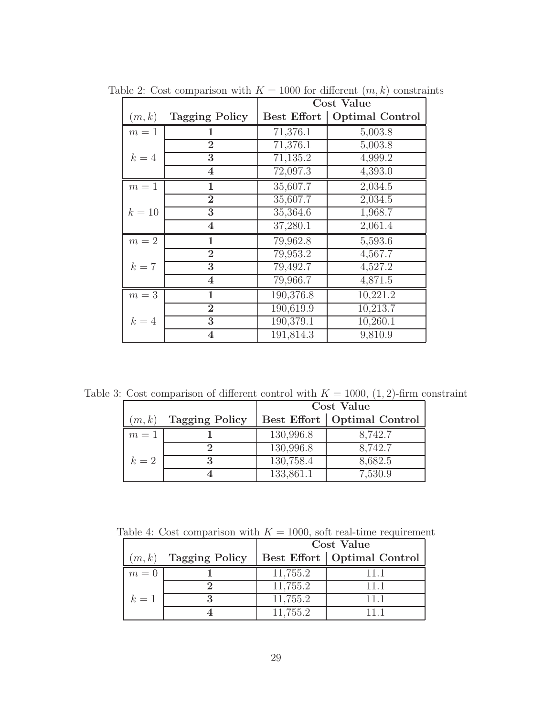|        |                         | <b>Cost Value</b> |                        |  |  |
|--------|-------------------------|-------------------|------------------------|--|--|
| (m,k)  | <b>Tagging Policy</b>   | Best Effort       | <b>Optimal Control</b> |  |  |
| $m=1$  | 1                       | 71,376.1          | 5,003.8                |  |  |
|        | $\overline{2}$          | 71,376.1          | 5,003.8                |  |  |
| $k=4$  | 3                       | 71,135.2          | 4,999.2                |  |  |
|        | $\overline{\mathbf{4}}$ | 72,097.3          | 4,393.0                |  |  |
| $m=1$  | 1                       | 35,607.7          | 2,034.5                |  |  |
|        | $\overline{2}$          | 35,607.7          | 2,034.5                |  |  |
| $k=10$ | 3                       | 35,364.6          | 1,968.7                |  |  |
|        | $\overline{\mathbf{4}}$ | 37,280.1          | 2,061.4                |  |  |
| $m=2$  | $\mathbf{1}$            | 79,962.8          | 5,593.6                |  |  |
|        | $\overline{2}$          | 79,953.2          | 4,567.7                |  |  |
| $k=7$  | 3                       | 79,492.7          | 4,527.2                |  |  |
|        | $\overline{\mathbf{4}}$ | 79,966.7          | 4,871.5                |  |  |
| $m=3$  | 1                       | 190,376.8         | 10,221.2               |  |  |
|        | $\overline{2}$          | 190,619.9         | 10,213.7               |  |  |
| $k=4$  | 3                       | 190,379.1         | 10,260.1               |  |  |
|        | $\overline{\mathbf{4}}$ | 191,814.3         | 9,810.9                |  |  |

Table 2: Cost comparison with  $K = 1000$  for different  $(m, k)$  constraints

Table 3: Cost comparison of different control with  $K = 1000$ ,  $(1, 2)$ -firm constraint

|       |                       | <b>Cost Value</b> |                               |  |  |
|-------|-----------------------|-------------------|-------------------------------|--|--|
| (m,k) | <b>Tagging Policy</b> |                   | Best Effort   Optimal Control |  |  |
| $m=1$ |                       | 130,996.8         | 8,742.7                       |  |  |
|       |                       | 130,996.8         | 8,742.7                       |  |  |
| $k=2$ |                       | 130,758.4         | 8,682.5                       |  |  |
|       |                       | 133,861.1         | 7,530.9                       |  |  |

Table 4: Cost comparison with  $K = 1000$ , soft real-time requirement

|        |                       | Cost Value |                               |  |  |
|--------|-----------------------|------------|-------------------------------|--|--|
| (m, k) | <b>Tagging Policy</b> |            | Best Effort   Optimal Control |  |  |
| $m=0$  |                       | 11,755.2   |                               |  |  |
|        |                       | 11,755.2   |                               |  |  |
| $k=1$  |                       | 11,755.2   |                               |  |  |
|        |                       | 11.755.2   |                               |  |  |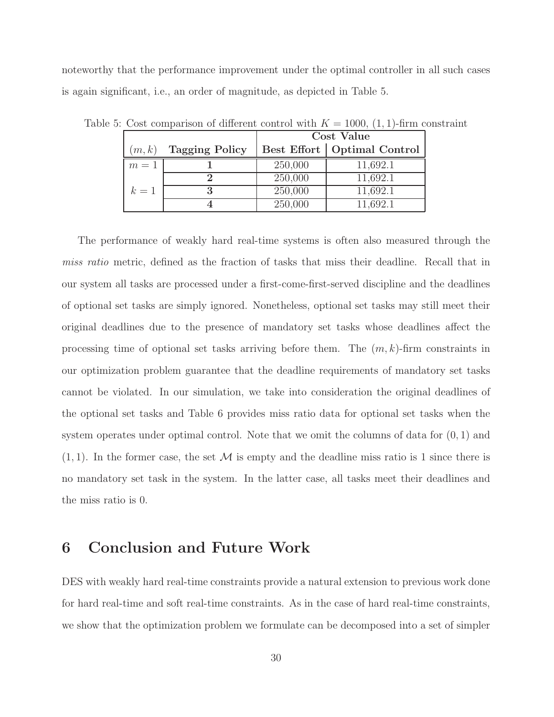noteworthy that the performance improvement under the optimal controller in all such cases is again significant, i.e., an order of magnitude, as depicted in Table 5.

|       |                       | Cost Value |                               |  |  |
|-------|-----------------------|------------|-------------------------------|--|--|
| (m,k) | <b>Tagging Policy</b> |            | Best Effort   Optimal Control |  |  |
| $m=1$ |                       | 250,000    | 11,692.1                      |  |  |
|       |                       | 250,000    | 11,692.1                      |  |  |
| $k=1$ |                       | 250,000    | 11,692.1                      |  |  |
|       |                       | 250,000    | 11.692.1                      |  |  |

Table 5: Cost comparison of different control with  $K = 1000, (1, 1)$ -firm constraint

The performance of weakly hard real-time systems is often also measured through the *miss ratio* metric, defined as the fraction of tasks that miss their deadline. Recall that in our system all tasks are processed under a first-come-first-served discipline and the deadlines of optional set tasks are simply ignored. Nonetheless, optional set tasks may still meet their original deadlines due to the presence of mandatory set tasks whose deadlines affect the processing time of optional set tasks arriving before them. The  $(m, k)$ -firm constraints in our optimization problem guarantee that the deadline requirements of mandatory set tasks cannot be violated. In our simulation, we take into consideration the original deadlines of the optional set tasks and Table 6 provides miss ratio data for optional set tasks when the system operates under optimal control. Note that we omit the columns of data for  $(0, 1)$  and  $(1, 1)$ . In the former case, the set M is empty and the deadline miss ratio is 1 since there is no mandatory set task in the system. In the latter case, all tasks meet their deadlines and the miss ratio is 0.

### 6 Conclusion and Future Work

DES with weakly hard real-time constraints provide a natural extension to previous work done for hard real-time and soft real-time constraints. As in the case of hard real-time constraints, we show that the optimization problem we formulate can be decomposed into a set of simpler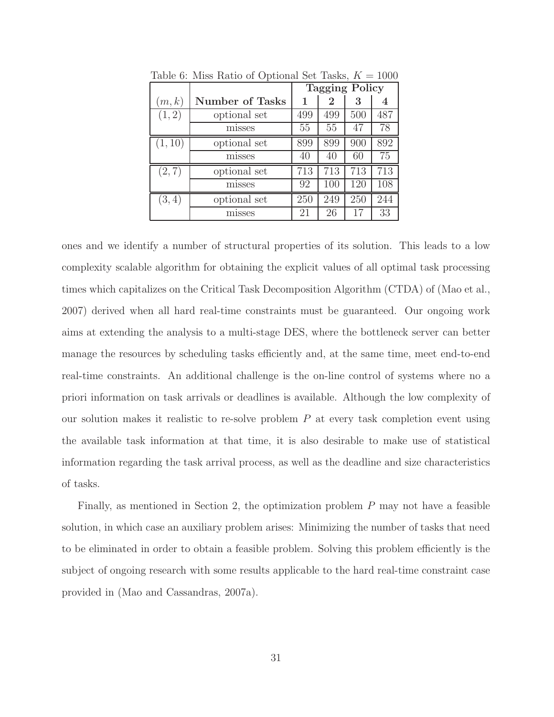|         |                        | <b>Tagging Policy</b> |     |     |     |
|---------|------------------------|-----------------------|-----|-----|-----|
| (m,k)   | <b>Number of Tasks</b> | 1                     | 2   | 3   |     |
| (1, 2)  | optional set           | 499                   | 499 | 500 | 487 |
|         | misses                 | 55                    | 55  | 47  | 78  |
| (1, 10) | optional set           | 899                   | 899 | 900 | 892 |
|         | misses                 | 40                    | 40  | 60  | 75  |
| (2, 7)  | optional set           | 713                   | 713 | 713 | 713 |
|         | misses                 | 92                    | 100 | 120 | 108 |
| (3, 4)  | optional set           | 250                   | 249 | 250 | 244 |
|         | misses                 | 21                    | 26  | 17  | 33  |

Table 6: Miss Ratio of Optional Set Tasks,  $K = 1000$ 

ones and we identify a number of structural properties of its solution. This leads to a low complexity scalable algorithm for obtaining the explicit values of all optimal task processing times which capitalizes on the Critical Task Decomposition Algorithm (CTDA) of (Mao et al., 2007) derived when all hard real-time constraints must be guaranteed. Our ongoing work aims at extending the analysis to a multi-stage DES, where the bottleneck server can better manage the resources by scheduling tasks efficiently and, at the same time, meet end-to-end real-time constraints. An additional challenge is the on-line control of systems where no a priori information on task arrivals or deadlines is available. Although the low complexity of our solution makes it realistic to re-solve problem  $P$  at every task completion event using the available task information at that time, it is also desirable to make use of statistical information regarding the task arrival process, as well as the deadline and size characteristics of tasks.

Finally, as mentioned in Section 2, the optimization problem  $P$  may not have a feasible solution, in which case an auxiliary problem arises: Minimizing the number of tasks that need to be eliminated in order to obtain a feasible problem. Solving this problem efficiently is the subject of ongoing research with some results applicable to the hard real-time constraint case provided in (Mao and Cassandras, 2007a).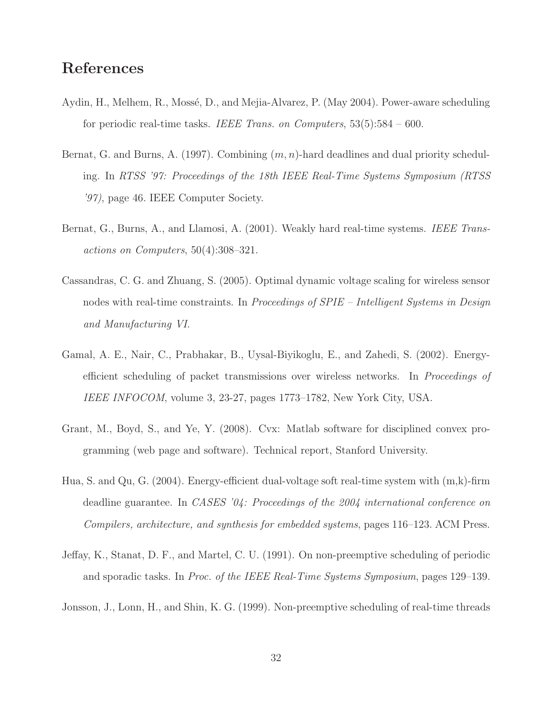# References

- Aydin, H., Melhem, R., Mossé, D., and Mejia-Alvarez, P. (May 2004). Power-aware scheduling for periodic real-time tasks. *IEEE Trans. on Computers*, 53(5):584 – 600.
- Bernat, G. and Burns, A. (1997). Combining  $(m, n)$ -hard deadlines and dual priority scheduling. In *RTSS '97: Proceedings of the 18th IEEE Real-Time Systems Symposium (RTSS '97)*, page 46. IEEE Computer Society.
- Bernat, G., Burns, A., and Llamosi, A. (2001). Weakly hard real-time systems. *IEEE Transactions on Computers*, 50(4):308–321.
- Cassandras, C. G. and Zhuang, S. (2005). Optimal dynamic voltage scaling for wireless sensor nodes with real-time constraints. In *Proceedings of SPIE – Intelligent Systems in Design and Manufacturing VI*.
- Gamal, A. E., Nair, C., Prabhakar, B., Uysal-Biyikoglu, E., and Zahedi, S. (2002). Energyefficient scheduling of packet transmissions over wireless networks. In *Proceedings of IEEE INFOCOM*, volume 3, 23-27, pages 1773–1782, New York City, USA.
- Grant, M., Boyd, S., and Ye, Y. (2008). Cvx: Matlab software for disciplined convex programming (web page and software). Technical report, Stanford University.
- Hua, S. and Qu, G. (2004). Energy-efficient dual-voltage soft real-time system with (m,k)-firm deadline guarantee. In *CASES '04: Proceedings of the 2004 international conference on Compilers, architecture, and synthesis for embedded systems*, pages 116–123. ACM Press.
- Jeffay, K., Stanat, D. F., and Martel, C. U. (1991). On non-preemptive scheduling of periodic and sporadic tasks. In *Proc. of the IEEE Real-Time Systems Symposium*, pages 129–139.

Jonsson, J., Lonn, H., and Shin, K. G. (1999). Non-preemptive scheduling of real-time threads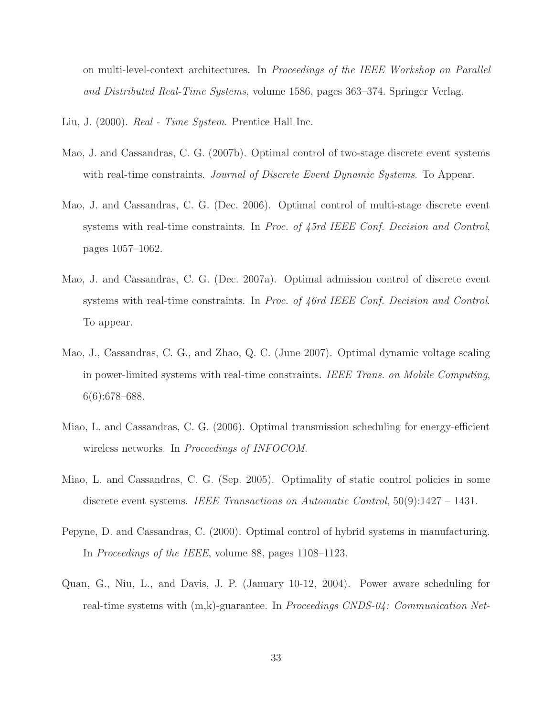on multi-level-context architectures. In *Proceedings of the IEEE Workshop on Parallel and Distributed Real-Time Systems*, volume 1586, pages 363–374. Springer Verlag.

Liu, J. (2000). *Real - Time System*. Prentice Hall Inc.

- Mao, J. and Cassandras, C. G. (2007b). Optimal control of two-stage discrete event systems with real-time constraints. *Journal of Discrete Event Dynamic Systems*. To Appear.
- Mao, J. and Cassandras, C. G. (Dec. 2006). Optimal control of multi-stage discrete event systems with real-time constraints. In *Proc. of 45rd IEEE Conf. Decision and Control*, pages 1057–1062.
- Mao, J. and Cassandras, C. G. (Dec. 2007a). Optimal admission control of discrete event systems with real-time constraints. In *Proc. of 46rd IEEE Conf. Decision and Control*. To appear.
- Mao, J., Cassandras, C. G., and Zhao, Q. C. (June 2007). Optimal dynamic voltage scaling in power-limited systems with real-time constraints. *IEEE Trans. on Mobile Computing*, 6(6):678–688.
- Miao, L. and Cassandras, C. G. (2006). Optimal transmission scheduling for energy-efficient wireless networks. In *Proceedings of INFOCOM*.
- Miao, L. and Cassandras, C. G. (Sep. 2005). Optimality of static control policies in some discrete event systems. *IEEE Transactions on Automatic Control*, 50(9):1427 – 1431.
- Pepyne, D. and Cassandras, C. (2000). Optimal control of hybrid systems in manufacturing. In *Proceedings of the IEEE*, volume 88, pages 1108–1123.
- Quan, G., Niu, L., and Davis, J. P. (January 10-12, 2004). Power aware scheduling for real-time systems with (m,k)-guarantee. In *Proceedings CNDS-04: Communication Net-*